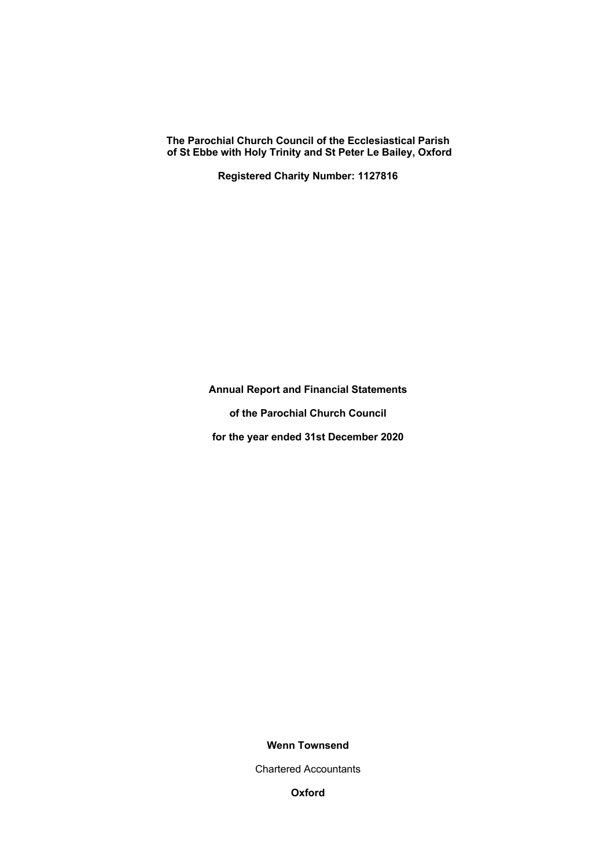**Registered Charity Number: 1127816**

**Annual Report and Financial Statements**

**of the Parochial Church Council**

**for the year ended 31st December 2020**

# **Wenn Townsend**

Chartered Accountants

**Oxford**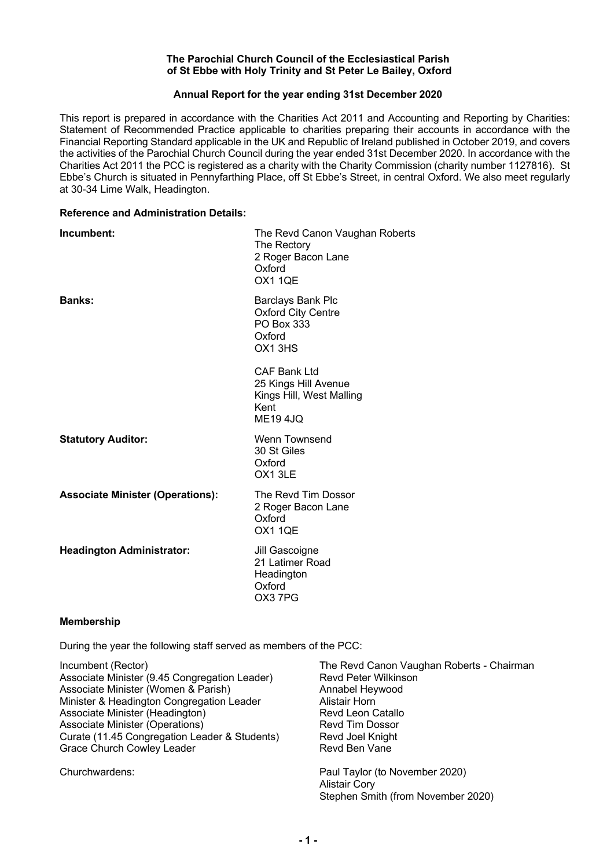## **Annual Report for the year ending 31st December 2020**

This report is prepared in accordance with the Charities Act 2011 and Accounting and Reporting by Charities: Statement of Recommended Practice applicable to charities preparing their accounts in accordance with the Financial Reporting Standard applicable in the UK and Republic of Ireland published in October 2019, and covers the activities of the Parochial Church Council during the year ended 31st December 2020. In accordance with the Charities Act 2011 the PCC is registered as a charity with the Charity Commission (charity number 1127816). St Ebbe's Church is situated in Pennyfarthing Place, off St Ebbe's Street, in central Oxford. We also meet regularly at 30-34 Lime Walk, Headington.

### **Reference and Administration Details:**

| Incumbent:                              | The Revd Canon Vaughan Roberts<br>The Rectory<br>2 Roger Bacon Lane<br>Oxford<br><b>OX1 1QE</b>   |
|-----------------------------------------|---------------------------------------------------------------------------------------------------|
| Banks:                                  | Barclays Bank Plc<br><b>Oxford City Centre</b><br>PO Box 333<br>Oxford<br>OX13HS                  |
|                                         | <b>CAF Bank Ltd</b><br>25 Kings Hill Avenue<br>Kings Hill, West Malling<br>Kent<br><b>ME194JQ</b> |
| <b>Statutory Auditor:</b>               | Wenn Townsend<br>30 St Giles<br>Oxford<br>OX13LE                                                  |
| <b>Associate Minister (Operations):</b> | The Revd Tim Dossor<br>2 Roger Bacon Lane<br>Oxford<br><b>OX1 1QE</b>                             |
| <b>Headington Administrator:</b>        | Jill Gascoigne<br>21 Latimer Road<br>Headington<br>Oxford<br>OX3 7PG                              |

# **Membership**

During the year the following staff served as members of the PCC:

Associate Minister (9.45 Congregation Leader) Revd Peter Wilkinson<br>Associate Minister (Women & Parish) Annabel Heywood Associate Minister (Women & Parish) **Annabel Hey**<br>Minister & Headington Congregation Leader **Alistair Horn** Minister & Headington Congregation Leader **Alistair Horn Congregation Leader** Alistair Horn Associate Minister (Headington) Associate Minister (Headington) Associate Minister (Operations) Revd Tim Dossor Curate (11.45 Congregation Leader & Students) Revd Joel Knight Grace Church Cowley Leader **Reveller** Revd Ben Vane

Incumbent (Rector) The Revd Canon Vaughan Roberts - Chairman Churchwardens: Paul Taylor (to November 2020)

Alistair Cory Stephen Smith (from November 2020)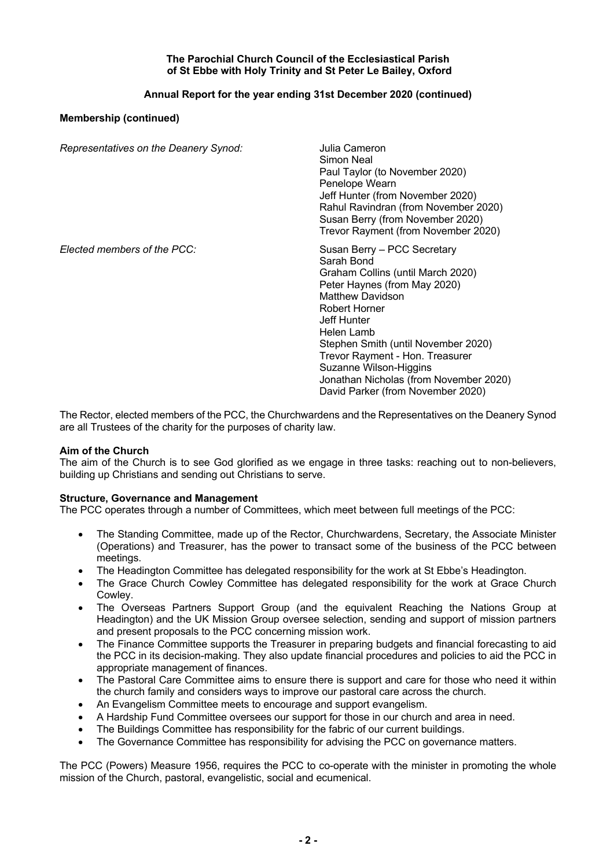# **Annual Report for the year ending 31st December 2020 (continued)**

# **Membership (continued)**

| Representatives on the Deanery Synod: | Julia Cameron<br>Simon Neal<br>Paul Taylor (to November 2020)<br>Penelope Wearn<br>Jeff Hunter (from November 2020)<br>Rahul Ravindran (from November 2020)<br>Susan Berry (from November 2020)<br>Trevor Rayment (from November 2020)                                                                                                                                     |
|---------------------------------------|----------------------------------------------------------------------------------------------------------------------------------------------------------------------------------------------------------------------------------------------------------------------------------------------------------------------------------------------------------------------------|
| Elected members of the PCC:           | Susan Berry - PCC Secretary<br>Sarah Bond<br>Graham Collins (until March 2020)<br>Peter Haynes (from May 2020)<br><b>Matthew Davidson</b><br>Robert Horner<br>Jeff Hunter<br>Helen Lamb<br>Stephen Smith (until November 2020)<br>Trevor Rayment - Hon. Treasurer<br>Suzanne Wilson-Higgins<br>Jonathan Nicholas (from November 2020)<br>David Parker (from November 2020) |

The Rector, elected members of the PCC, the Churchwardens and the Representatives on the Deanery Synod are all Trustees of the charity for the purposes of charity law.

### **Aim of the Church**

The aim of the Church is to see God glorified as we engage in three tasks: reaching out to non-believers, building up Christians and sending out Christians to serve.

#### **Structure, Governance and Management**

The PCC operates through a number of Committees, which meet between full meetings of the PCC:

- The Standing Committee, made up of the Rector, Churchwardens, Secretary, the Associate Minister (Operations) and Treasurer, has the power to transact some of the business of the PCC between meetings.
- The Headington Committee has delegated responsibility for the work at St Ebbe's Headington.
- The Grace Church Cowley Committee has delegated responsibility for the work at Grace Church Cowley.
- The Overseas Partners Support Group (and the equivalent Reaching the Nations Group at Headington) and the UK Mission Group oversee selection, sending and support of mission partners and present proposals to the PCC concerning mission work.
- The Finance Committee supports the Treasurer in preparing budgets and financial forecasting to aid the PCC in its decision-making. They also update financial procedures and policies to aid the PCC in appropriate management of finances.
- The Pastoral Care Committee aims to ensure there is support and care for those who need it within the church family and considers ways to improve our pastoral care across the church.
- An Evangelism Committee meets to encourage and support evangelism.
- A Hardship Fund Committee oversees our support for those in our church and area in need.
- The Buildings Committee has responsibility for the fabric of our current buildings.
- The Governance Committee has responsibility for advising the PCC on governance matters.

The PCC (Powers) Measure 1956, requires the PCC to co-operate with the minister in promoting the whole mission of the Church, pastoral, evangelistic, social and ecumenical.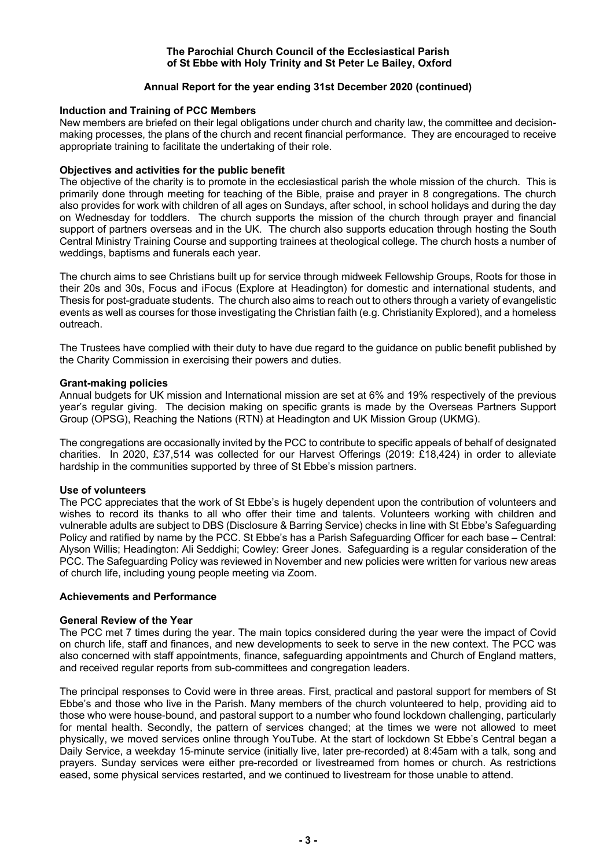## **Annual Report for the year ending 31st December 2020 (continued)**

### **Induction and Training of PCC Members**

New members are briefed on their legal obligations under church and charity law, the committee and decisionmaking processes, the plans of the church and recent financial performance. They are encouraged to receive appropriate training to facilitate the undertaking of their role.

### **Objectives and activities for the public benefit**

The objective of the charity is to promote in the ecclesiastical parish the whole mission of the church. This is primarily done through meeting for teaching of the Bible, praise and prayer in 8 congregations. The church also provides for work with children of all ages on Sundays, after school, in school holidays and during the day on Wednesday for toddlers. The church supports the mission of the church through prayer and financial support of partners overseas and in the UK. The church also supports education through hosting the South Central Ministry Training Course and supporting trainees at theological college. The church hosts a number of weddings, baptisms and funerals each year.

The church aims to see Christians built up for service through midweek Fellowship Groups, Roots for those in their 20s and 30s, Focus and iFocus (Explore at Headington) for domestic and international students, and Thesis for post-graduate students. The church also aims to reach out to others through a variety of evangelistic events as well as courses for those investigating the Christian faith (e.g. Christianity Explored), and a homeless outreach.

The Trustees have complied with their duty to have due regard to the guidance on public benefit published by the Charity Commission in exercising their powers and duties.

#### **Grant-making policies**

Annual budgets for UK mission and International mission are set at 6% and 19% respectively of the previous year's regular giving. The decision making on specific grants is made by the Overseas Partners Support Group (OPSG), Reaching the Nations (RTN) at Headington and UK Mission Group (UKMG).

The congregations are occasionally invited by the PCC to contribute to specific appeals of behalf of designated charities. In 2020, £37,514 was collected for our Harvest Offerings (2019: £18,424) in order to alleviate hardship in the communities supported by three of St Ebbe's mission partners.

# **Use of volunteers**

The PCC appreciates that the work of St Ebbe's is hugely dependent upon the contribution of volunteers and wishes to record its thanks to all who offer their time and talents. Volunteers working with children and vulnerable adults are subject to DBS (Disclosure & Barring Service) checks in line with St Ebbe's Safeguarding Policy and ratified by name by the PCC. St Ebbe's has a Parish Safeguarding Officer for each base – Central: Alyson Willis; Headington: Ali Seddighi; Cowley: Greer Jones. Safeguarding is a regular consideration of the PCC. The Safeguarding Policy was reviewed in November and new policies were written for various new areas of church life, including young people meeting via Zoom.

## **Achievements and Performance**

#### **General Review of the Year**

The PCC met 7 times during the year. The main topics considered during the year were the impact of Covid on church life, staff and finances, and new developments to seek to serve in the new context. The PCC was also concerned with staff appointments, finance, safeguarding appointments and Church of England matters, and received regular reports from sub-committees and congregation leaders.

The principal responses to Covid were in three areas. First, practical and pastoral support for members of St Ebbe's and those who live in the Parish. Many members of the church volunteered to help, providing aid to those who were house-bound, and pastoral support to a number who found lockdown challenging, particularly for mental health. Secondly, the pattern of services changed; at the times we were not allowed to meet physically, we moved services online through YouTube. At the start of lockdown St Ebbe's Central began a Daily Service, a weekday 15-minute service (initially live, later pre-recorded) at 8:45am with a talk, song and prayers. Sunday services were either pre-recorded or livestreamed from homes or church. As restrictions eased, some physical services restarted, and we continued to livestream for those unable to attend.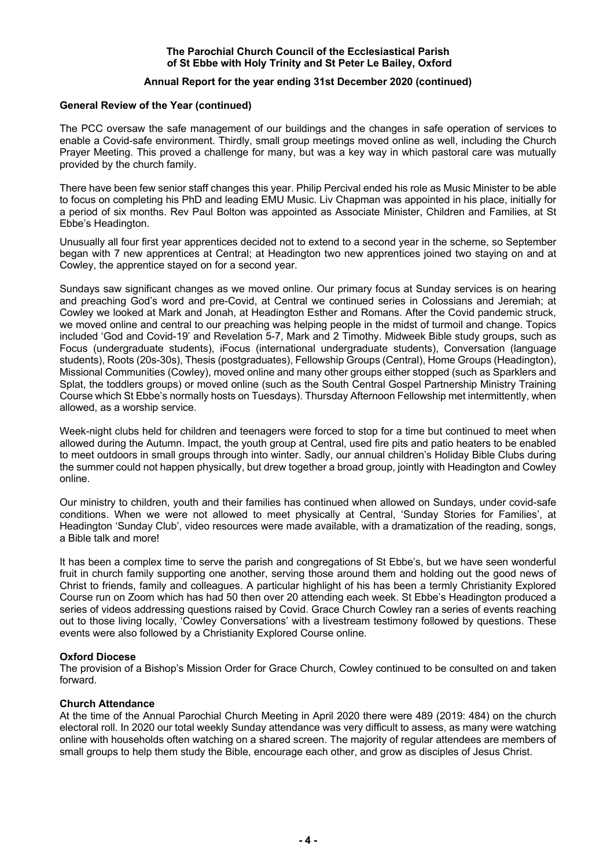### **Annual Report for the year ending 31st December 2020 (continued)**

### **General Review of the Year (continued)**

The PCC oversaw the safe management of our buildings and the changes in safe operation of services to enable a Covid-safe environment. Thirdly, small group meetings moved online as well, including the Church Prayer Meeting. This proved a challenge for many, but was a key way in which pastoral care was mutually provided by the church family.

There have been few senior staff changes this year. Philip Percival ended his role as Music Minister to be able to focus on completing his PhD and leading EMU Music. Liv Chapman was appointed in his place, initially for a period of six months. Rev Paul Bolton was appointed as Associate Minister, Children and Families, at St Ebbe's Headington.

Unusually all four first year apprentices decided not to extend to a second year in the scheme, so September began with 7 new apprentices at Central; at Headington two new apprentices joined two staying on and at Cowley, the apprentice stayed on for a second year.

Sundays saw significant changes as we moved online. Our primary focus at Sunday services is on hearing and preaching God's word and pre-Covid, at Central we continued series in Colossians and Jeremiah; at Cowley we looked at Mark and Jonah, at Headington Esther and Romans. After the Covid pandemic struck, we moved online and central to our preaching was helping people in the midst of turmoil and change. Topics included 'God and Covid-19' and Revelation 5-7, Mark and 2 Timothy. Midweek Bible study groups, such as Focus (undergraduate students), iFocus (international undergraduate students), Conversation (language students), Roots (20s-30s), Thesis (postgraduates), Fellowship Groups (Central), Home Groups (Headington), Missional Communities (Cowley), moved online and many other groups either stopped (such as Sparklers and Splat, the toddlers groups) or moved online (such as the South Central Gospel Partnership Ministry Training Course which St Ebbe's normally hosts on Tuesdays). Thursday Afternoon Fellowship met intermittently, when allowed, as a worship service.

Week-night clubs held for children and teenagers were forced to stop for a time but continued to meet when allowed during the Autumn. Impact, the youth group at Central, used fire pits and patio heaters to be enabled to meet outdoors in small groups through into winter. Sadly, our annual children's Holiday Bible Clubs during the summer could not happen physically, but drew together a broad group, jointly with Headington and Cowley online.

Our ministry to children, youth and their families has continued when allowed on Sundays, under covid-safe conditions. When we were not allowed to meet physically at Central, 'Sunday Stories for Families', at Headington 'Sunday Club', video resources were made available, with a dramatization of the reading, songs, a Bible talk and more!

It has been a complex time to serve the parish and congregations of St Ebbe's, but we have seen wonderful fruit in church family supporting one another, serving those around them and holding out the good news of Christ to friends, family and colleagues. A particular highlight of his has been a termly Christianity Explored Course run on Zoom which has had 50 then over 20 attending each week. St Ebbe's Headington produced a series of videos addressing questions raised by Covid. Grace Church Cowley ran a series of events reaching out to those living locally, 'Cowley Conversations' with a livestream testimony followed by questions. These events were also followed by a Christianity Explored Course online.

#### **Oxford Diocese**

The provision of a Bishop's Mission Order for Grace Church, Cowley continued to be consulted on and taken forward.

## **Church Attendance**

At the time of the Annual Parochial Church Meeting in April 2020 there were 489 (2019: 484) on the church electoral roll. In 2020 our total weekly Sunday attendance was very difficult to assess, as many were watching online with households often watching on a shared screen. The majority of regular attendees are members of small groups to help them study the Bible, encourage each other, and grow as disciples of Jesus Christ.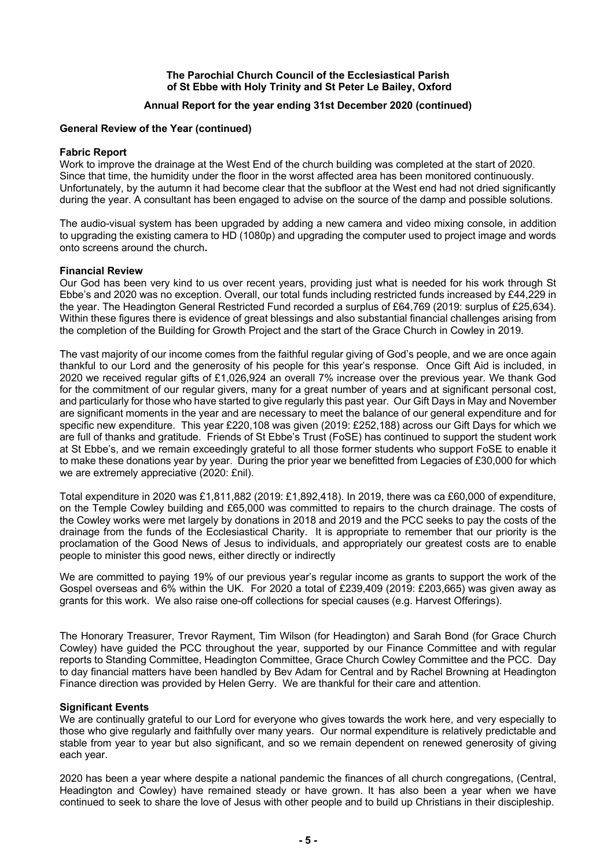## **Annual Report for the year ending 31st December 2020 (continued)**

### **General Review of the Year (continued)**

### **Fabric Report**

Work to improve the drainage at the West End of the church building was completed at the start of 2020. Since that time, the humidity under the floor in the worst affected area has been monitored continuously. Unfortunately, by the autumn it had become clear that the subfloor at the West end had not dried significantly during the year. A consultant has been engaged to advise on the source of the damp and possible solutions.

The audio-visual system has been upgraded by adding a new camera and video mixing console, in addition to upgrading the existing camera to HD (1080p) and upgrading the computer used to project image and words onto screens around the church**.**

## **Financial Review**

Our God has been very kind to us over recent years, providing just what is needed for his work through St Ebbe's and 2020 was no exception. Overall, our total funds including restricted funds increased by £44,229 in the year. The Headington General Restricted Fund recorded a surplus of £64,769 (2019: surplus of £25,634). Within these figures there is evidence of great blessings and also substantial financial challenges arising from the completion of the Building for Growth Project and the start of the Grace Church in Cowley in 2019.

The vast majority of our income comes from the faithful regular giving of God's people, and we are once again thankful to our Lord and the generosity of his people for this year's response. Once Gift Aid is included, in 2020 we received regular gifts of £1,026,924 an overall 7% increase over the previous year. We thank God for the commitment of our regular givers, many for a great number of years and at significant personal cost, and particularly for those who have started to give regularly this past year. Our Gift Days in May and November are significant moments in the year and are necessary to meet the balance of our general expenditure and for specific new expenditure. This year £220,108 was given (2019: £252,188) across our Gift Days for which we are full of thanks and gratitude. Friends of St Ebbe's Trust (FoSE) has continued to support the student work at St Ebbe's, and we remain exceedingly grateful to all those former students who support FoSE to enable it to make these donations year by year. During the prior year we benefitted from Legacies of £30,000 for which we are extremely appreciative (2020: £nil).

Total expenditure in 2020 was £1,811,882 (2019: £1,892,418). In 2019, there was ca £60,000 of expenditure, on the Temple Cowley building and £65,000 was committed to repairs to the church drainage. The costs of the Cowley works were met largely by donations in 2018 and 2019 and the PCC seeks to pay the costs of the drainage from the funds of the Ecclesiastical Charity. It is appropriate to remember that our priority is the proclamation of the Good News of Jesus to individuals, and appropriately our greatest costs are to enable people to minister this good news, either directly or indirectly

We are committed to paying 19% of our previous year's regular income as grants to support the work of the Gospel overseas and 6% within the UK. For 2020 a total of £239,409 (2019: £203,665) was given away as grants for this work. We also raise one-off collections for special causes (e.g. Harvest Offerings).

The Honorary Treasurer, Trevor Rayment, Tim Wilson (for Headington) and Sarah Bond (for Grace Church Cowley) have guided the PCC throughout the year, supported by our Finance Committee and with regular reports to Standing Committee, Headington Committee, Grace Church Cowley Committee and the PCC. Day to day financial matters have been handled by Bev Adam for Central and by Rachel Browning at Headington Finance direction was provided by Helen Gerry. We are thankful for their care and attention.

### **Significant Events**

We are continually grateful to our Lord for everyone who gives towards the work here, and very especially to those who give regularly and faithfully over many years. Our normal expenditure is relatively predictable and stable from year to year but also significant, and so we remain dependent on renewed generosity of giving each year.

2020 has been a year where despite a national pandemic the finances of all church congregations, (Central, Headington and Cowley) have remained steady or have grown. It has also been a year when we have continued to seek to share the love of Jesus with other people and to build up Christians in their discipleship.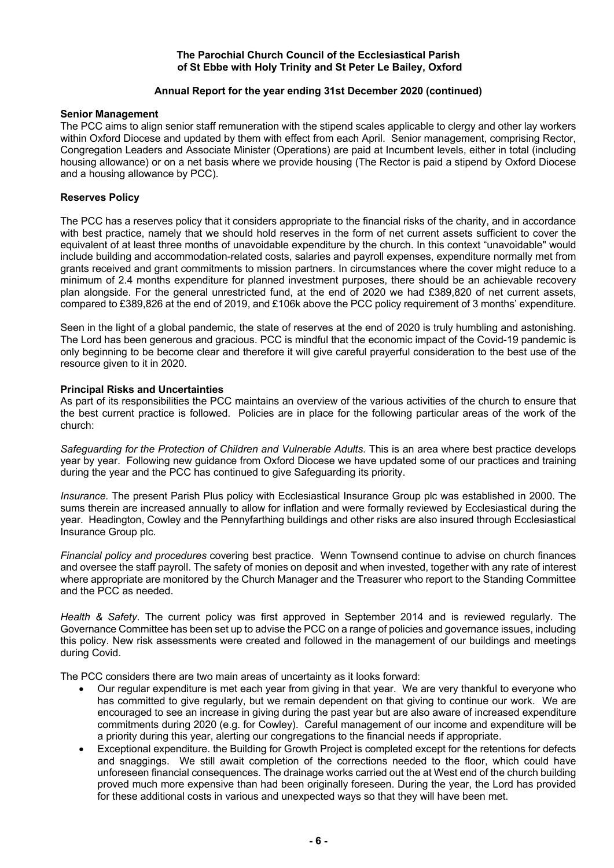## **Annual Report for the year ending 31st December 2020 (continued)**

### **Senior Management**

The PCC aims to align senior staff remuneration with the stipend scales applicable to clergy and other lay workers within Oxford Diocese and updated by them with effect from each April. Senior management, comprising Rector, Congregation Leaders and Associate Minister (Operations) are paid at Incumbent levels, either in total (including housing allowance) or on a net basis where we provide housing (The Rector is paid a stipend by Oxford Diocese and a housing allowance by PCC).

## **Reserves Policy**

The PCC has a reserves policy that it considers appropriate to the financial risks of the charity, and in accordance with best practice, namely that we should hold reserves in the form of net current assets sufficient to cover the equivalent of at least three months of unavoidable expenditure by the church. In this context "unavoidable" would include building and accommodation-related costs, salaries and payroll expenses, expenditure normally met from grants received and grant commitments to mission partners. In circumstances where the cover might reduce to a minimum of 2.4 months expenditure for planned investment purposes, there should be an achievable recovery plan alongside. For the general unrestricted fund, at the end of 2020 we had £389,820 of net current assets, compared to £389,826 at the end of 2019, and £106k above the PCC policy requirement of 3 months' expenditure.

Seen in the light of a global pandemic, the state of reserves at the end of 2020 is truly humbling and astonishing. The Lord has been generous and gracious. PCC is mindful that the economic impact of the Covid-19 pandemic is only beginning to be become clear and therefore it will give careful prayerful consideration to the best use of the resource given to it in 2020.

### **Principal Risks and Uncertainties**

As part of its responsibilities the PCC maintains an overview of the various activities of the church to ensure that the best current practice is followed. Policies are in place for the following particular areas of the work of the church:

*Safeguarding for the Protection of Children and Vulnerable Adults*. This is an area where best practice develops year by year. Following new guidance from Oxford Diocese we have updated some of our practices and training during the year and the PCC has continued to give Safeguarding its priority.

*Insurance.* The present Parish Plus policy with Ecclesiastical Insurance Group plc was established in 2000. The sums therein are increased annually to allow for inflation and were formally reviewed by Ecclesiastical during the year. Headington, Cowley and the Pennyfarthing buildings and other risks are also insured through Ecclesiastical Insurance Group plc.

*Financial policy and procedures* covering best practice. Wenn Townsend continue to advise on church finances and oversee the staff payroll. The safety of monies on deposit and when invested, together with any rate of interest where appropriate are monitored by the Church Manager and the Treasurer who report to the Standing Committee and the PCC as needed.

*Health & Safety*. The current policy was first approved in September 2014 and is reviewed regularly. The Governance Committee has been set up to advise the PCC on a range of policies and governance issues, including this policy. New risk assessments were created and followed in the management of our buildings and meetings during Covid.

The PCC considers there are two main areas of uncertainty as it looks forward:

- Our regular expenditure is met each year from giving in that year. We are very thankful to everyone who has committed to give regularly, but we remain dependent on that giving to continue our work. We are encouraged to see an increase in giving during the past year but are also aware of increased expenditure commitments during 2020 (e.g. for Cowley). Careful management of our income and expenditure will be a priority during this year, alerting our congregations to the financial needs if appropriate.
- Exceptional expenditure. the Building for Growth Project is completed except for the retentions for defects and snaggings. We still await completion of the corrections needed to the floor, which could have unforeseen financial consequences. The drainage works carried out the at West end of the church building proved much more expensive than had been originally foreseen. During the year, the Lord has provided for these additional costs in various and unexpected ways so that they will have been met.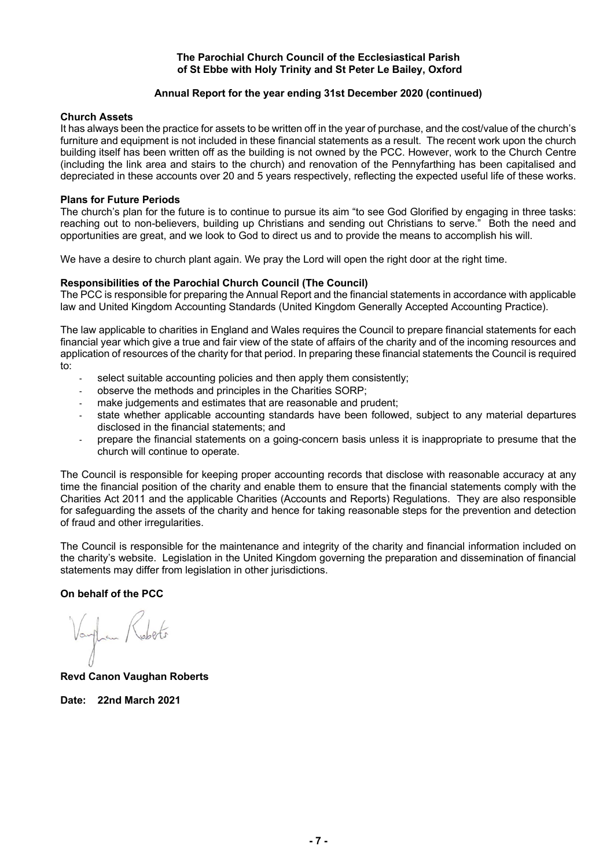# **Annual Report for the year ending 31st December 2020 (continued)**

## **Church Assets**

It has always been the practice for assets to be written off in the year of purchase, and the cost/value of the church's furniture and equipment is not included in these financial statements as a result. The recent work upon the church building itself has been written off as the building is not owned by the PCC. However, work to the Church Centre (including the link area and stairs to the church) and renovation of the Pennyfarthing has been capitalised and depreciated in these accounts over 20 and 5 years respectively, reflecting the expected useful life of these works.

## **Plans for Future Periods**

The church's plan for the future is to continue to pursue its aim "to see God Glorified by engaging in three tasks: reaching out to non-believers, building up Christians and sending out Christians to serve." Both the need and opportunities are great, and we look to God to direct us and to provide the means to accomplish his will.

We have a desire to church plant again. We pray the Lord will open the right door at the right time.

# **Responsibilities of the Parochial Church Council (The Council)**

The PCC is responsible for preparing the Annual Report and the financial statements in accordance with applicable law and United Kingdom Accounting Standards (United Kingdom Generally Accepted Accounting Practice).

The law applicable to charities in England and Wales requires the Council to prepare financial statements for each financial year which give a true and fair view of the state of affairs of the charity and of the incoming resources and application of resources of the charity for that period. In preparing these financial statements the Council is required to:

- select suitable accounting policies and then apply them consistently;
- observe the methods and principles in the Charities SORP;
- make judgements and estimates that are reasonable and prudent;
- state whether applicable accounting standards have been followed, subject to any material departures disclosed in the financial statements; and
- prepare the financial statements on a going-concern basis unless it is inappropriate to presume that the church will continue to operate.

The Council is responsible for keeping proper accounting records that disclose with reasonable accuracy at any time the financial position of the charity and enable them to ensure that the financial statements comply with the Charities Act 2011 and the applicable Charities (Accounts and Reports) Regulations. They are also responsible for safeguarding the assets of the charity and hence for taking reasonable steps for the prevention and detection of fraud and other irregularities.

The Council is responsible for the maintenance and integrity of the charity and financial information included on the charity's website. Legislation in the United Kingdom governing the preparation and dissemination of financial statements may differ from legislation in other jurisdictions.

**On behalf of the PCC**

Varghan Robert

**Revd Canon Vaughan Roberts**

**Date: 22nd March 2021**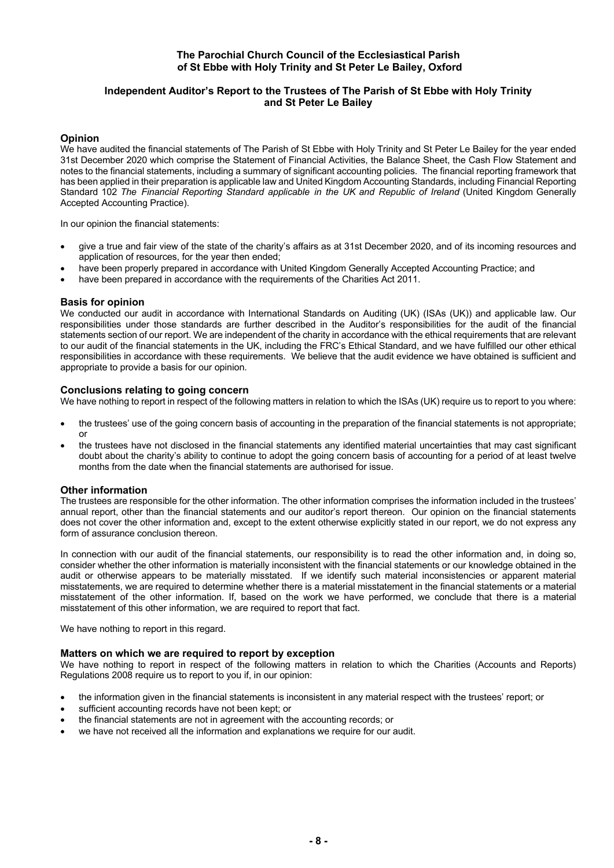### **Independent Auditor's Report to the Trustees of The Parish of St Ebbe with Holy Trinity and St Peter Le Bailey**

#### **Opinion**

We have audited the financial statements of The Parish of St Ebbe with Holy Trinity and St Peter Le Bailey for the year ended 31st December 2020 which comprise the Statement of Financial Activities, the Balance Sheet, the Cash Flow Statement and notes to the financial statements, including a summary of significant accounting policies. The financial reporting framework that has been applied in their preparation is applicable law and United Kingdom Accounting Standards, including Financial Reporting Standard 102 *The Financial Reporting Standard applicable in the UK and Republic of Ireland* (United Kingdom Generally Accepted Accounting Practice).

In our opinion the financial statements:

- give a true and fair view of the state of the charity's affairs as at 31st December 2020, and of its incoming resources and application of resources, for the year then ended;
- have been properly prepared in accordance with United Kingdom Generally Accepted Accounting Practice; and
- have been prepared in accordance with the requirements of the Charities Act 2011.

#### **Basis for opinion**

We conducted our audit in accordance with International Standards on Auditing (UK) (ISAs (UK)) and applicable law. Our responsibilities under those standards are further described in the Auditor's responsibilities for the audit of the financial statements section of our report. We are independent of the charity in accordance with the ethical requirements that are relevant to our audit of the financial statements in the UK, including the FRC's Ethical Standard, and we have fulfilled our other ethical responsibilities in accordance with these requirements. We believe that the audit evidence we have obtained is sufficient and appropriate to provide a basis for our opinion.

#### **Conclusions relating to going concern**

We have nothing to report in respect of the following matters in relation to which the ISAs (UK) require us to report to you where:

- the trustees' use of the going concern basis of accounting in the preparation of the financial statements is not appropriate; or
- the trustees have not disclosed in the financial statements any identified material uncertainties that may cast significant doubt about the charity's ability to continue to adopt the going concern basis of accounting for a period of at least twelve months from the date when the financial statements are authorised for issue.

#### **Other information**

The trustees are responsible for the other information. The other information comprises the information included in the trustees' annual report, other than the financial statements and our auditor's report thereon. Our opinion on the financial statements does not cover the other information and, except to the extent otherwise explicitly stated in our report, we do not express any form of assurance conclusion thereon.

In connection with our audit of the financial statements, our responsibility is to read the other information and, in doing so, consider whether the other information is materially inconsistent with the financial statements or our knowledge obtained in the audit or otherwise appears to be materially misstated. If we identify such material inconsistencies or apparent material misstatements, we are required to determine whether there is a material misstatement in the financial statements or a material misstatement of the other information. If, based on the work we have performed, we conclude that there is a material misstatement of this other information, we are required to report that fact.

We have nothing to report in this regard.

#### **Matters on which we are required to report by exception**

We have nothing to report in respect of the following matters in relation to which the Charities (Accounts and Reports) Regulations 2008 require us to report to you if, in our opinion:

- the information given in the financial statements is inconsistent in any material respect with the trustees' report; or
- sufficient accounting records have not been kept; or
- the financial statements are not in agreement with the accounting records; or
- we have not received all the information and explanations we require for our audit.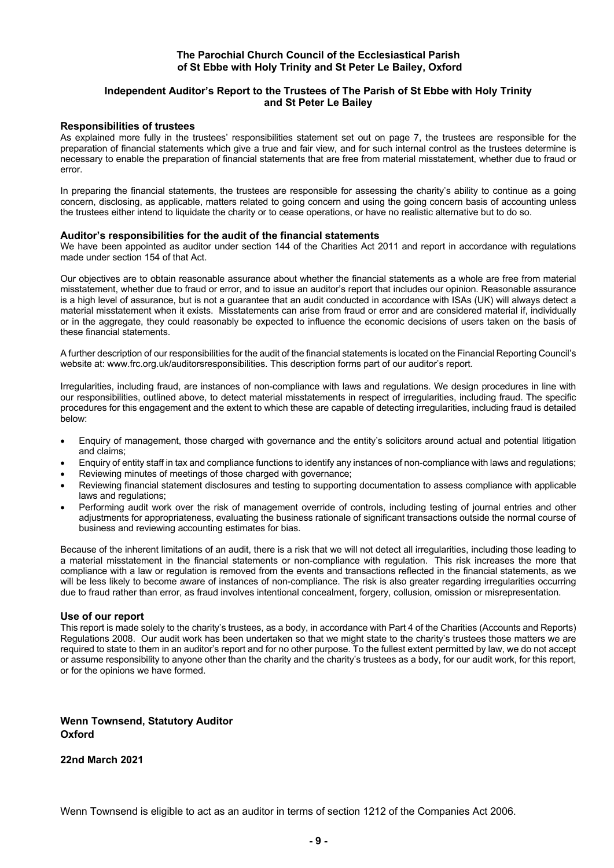### **Independent Auditor's Report to the Trustees of The Parish of St Ebbe with Holy Trinity and St Peter Le Bailey**

#### **Responsibilities of trustees**

As explained more fully in the trustees' responsibilities statement set out on page 7, the trustees are responsible for the preparation of financial statements which give a true and fair view, and for such internal control as the trustees determine is necessary to enable the preparation of financial statements that are free from material misstatement, whether due to fraud or error.

In preparing the financial statements, the trustees are responsible for assessing the charity's ability to continue as a going concern, disclosing, as applicable, matters related to going concern and using the going concern basis of accounting unless the trustees either intend to liquidate the charity or to cease operations, or have no realistic alternative but to do so.

#### **Auditor's responsibilities for the audit of the financial statements**

We have been appointed as auditor under section 144 of the Charities Act 2011 and report in accordance with regulations made under section 154 of that Act.

Our objectives are to obtain reasonable assurance about whether the financial statements as a whole are free from material misstatement, whether due to fraud or error, and to issue an auditor's report that includes our opinion. Reasonable assurance is a high level of assurance, but is not a guarantee that an audit conducted in accordance with ISAs (UK) will always detect a material misstatement when it exists. Misstatements can arise from fraud or error and are considered material if, individually or in the aggregate, they could reasonably be expected to influence the economic decisions of users taken on the basis of these financial statements.

A further description of our responsibilities for the audit of the financial statements is located on the Financial Reporting Council's website at: www.frc.org.uk/auditorsresponsibilities. This description forms part of our auditor's report.

Irregularities, including fraud, are instances of non-compliance with laws and regulations. We design procedures in line with our responsibilities, outlined above, to detect material misstatements in respect of irregularities, including fraud. The specific procedures for this engagement and the extent to which these are capable of detecting irregularities, including fraud is detailed below:

- Enquiry of management, those charged with governance and the entity's solicitors around actual and potential litigation and claims;
- Enquiry of entity staff in tax and compliance functions to identify any instances of non-compliance with laws and regulations;
- Reviewing minutes of meetings of those charged with governance;
- Reviewing financial statement disclosures and testing to supporting documentation to assess compliance with applicable laws and regulations;
- Performing audit work over the risk of management override of controls, including testing of journal entries and other adjustments for appropriateness, evaluating the business rationale of significant transactions outside the normal course of business and reviewing accounting estimates for bias.

Because of the inherent limitations of an audit, there is a risk that we will not detect all irregularities, including those leading to a material misstatement in the financial statements or non-compliance with regulation. This risk increases the more that compliance with a law or regulation is removed from the events and transactions reflected in the financial statements, as we will be less likely to become aware of instances of non-compliance. The risk is also greater regarding irregularities occurring due to fraud rather than error, as fraud involves intentional concealment, forgery, collusion, omission or misrepresentation.

#### **Use of our report**

This report is made solely to the charity's trustees, as a body, in accordance with Part 4 of the Charities (Accounts and Reports) Regulations 2008. Our audit work has been undertaken so that we might state to the charity's trustees those matters we are required to state to them in an auditor's report and for no other purpose. To the fullest extent permitted by law, we do not accept or assume responsibility to anyone other than the charity and the charity's trustees as a body, for our audit work, for this report, or for the opinions we have formed.

# **Wenn Townsend, Statutory Auditor Oxford**

**22nd March 2021**

Wenn Townsend is eligible to act as an auditor in terms of section 1212 of the Companies Act 2006.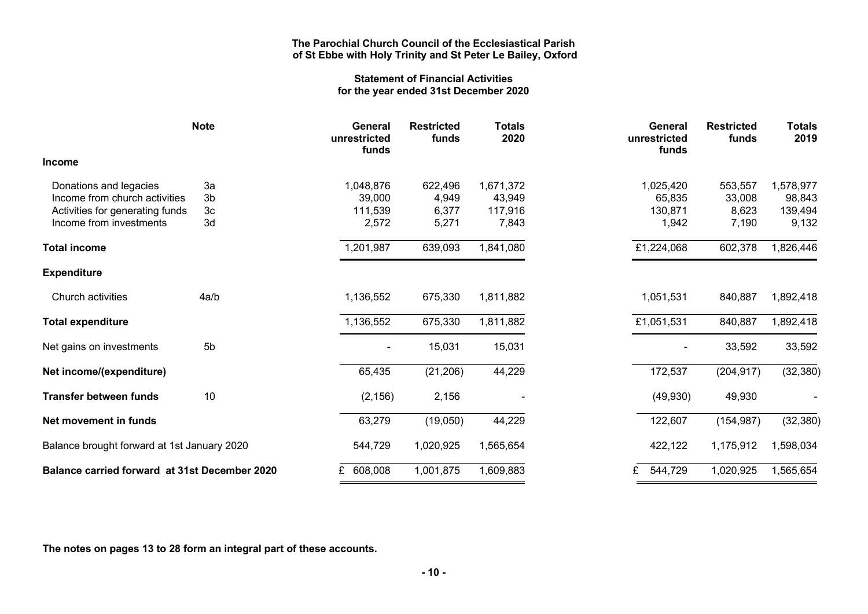## **Statement of Financial Activities for the year ended 31st December 2020**

|                                                      | <b>Note</b>    | General<br>unrestricted<br>funds | <b>Restricted</b><br>funds | <b>Totals</b><br>2020 | General<br>unrestricted<br>funds | <b>Restricted</b><br>funds | <b>Totals</b><br>2019 |
|------------------------------------------------------|----------------|----------------------------------|----------------------------|-----------------------|----------------------------------|----------------------------|-----------------------|
| <b>Income</b>                                        |                |                                  |                            |                       |                                  |                            |                       |
| Donations and legacies                               | 3a             | 1,048,876                        | 622,496                    | 1,671,372             | 1,025,420                        | 553,557                    | 1,578,977             |
| Income from church activities                        | 3b             | 39,000                           | 4,949                      | 43,949                | 65,835                           | 33,008                     | 98,843                |
| Activities for generating funds                      | 3 <sub>c</sub> | 111,539                          | 6,377                      | 117,916               | 130,871                          | 8,623                      | 139,494               |
| Income from investments                              | 3d             | 2,572                            | 5,271                      | 7,843                 | 1,942                            | 7,190                      | 9,132                 |
| <b>Total income</b>                                  |                | 1,201,987                        | 639,093                    | 1,841,080             | £1,224,068                       | 602,378                    | 1,826,446             |
| <b>Expenditure</b>                                   |                |                                  |                            |                       |                                  |                            |                       |
| Church activities                                    | 4a/b           | 1,136,552                        | 675,330                    | 1,811,882             | 1,051,531                        | 840,887                    | 1,892,418             |
| <b>Total expenditure</b>                             |                | 1,136,552                        | 675,330                    | 1,811,882             | £1,051,531                       | 840,887                    | 1,892,418             |
| Net gains on investments                             | 5b             | $\overline{\phantom{0}}$         | 15,031                     | 15,031                |                                  | 33,592                     | 33,592                |
| Net income/(expenditure)                             |                | 65,435                           | (21, 206)                  | 44,229                | 172,537                          | (204, 917)                 | (32, 380)             |
| <b>Transfer between funds</b>                        | 10             | (2, 156)                         | 2,156                      |                       | (49, 930)                        | 49,930                     |                       |
| Net movement in funds                                |                | 63,279                           | (19,050)                   | 44,229                | 122,607                          | (154, 987)                 | (32, 380)             |
| Balance brought forward at 1st January 2020          |                | 544,729                          | 1,020,925                  | 1,565,654             | 422,122                          | 1,175,912                  | 1,598,034             |
| <b>Balance carried forward at 31st December 2020</b> |                | £ 608,008                        | 1,001,875                  | 1,609,883             | 544,729                          | 1,020,925                  | 1,565,654             |

**The notes on pages 13 to 28 form an integral part of these accounts.**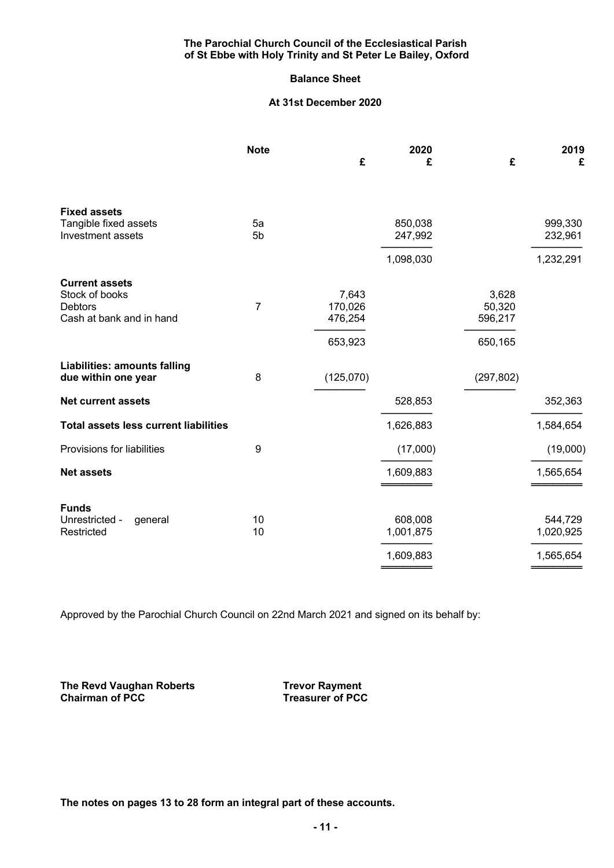## **Balance Sheet**

# **At 31st December 2020**

|                                                                                       | <b>Note</b>          | £                                      | 2020<br>£                         | £                                     | 2019<br>£                         |
|---------------------------------------------------------------------------------------|----------------------|----------------------------------------|-----------------------------------|---------------------------------------|-----------------------------------|
| <b>Fixed assets</b><br>Tangible fixed assets<br>Investment assets                     | 5a<br>5 <sub>b</sub> |                                        | 850,038<br>247,992                |                                       | 999,330<br>232,961                |
|                                                                                       |                      |                                        | 1,098,030                         |                                       | 1,232,291                         |
| <b>Current assets</b><br>Stock of books<br><b>Debtors</b><br>Cash at bank and in hand | 7                    | 7,643<br>170,026<br>476,254<br>653,923 |                                   | 3,628<br>50,320<br>596,217<br>650,165 |                                   |
| <b>Liabilities: amounts falling</b><br>due within one year                            | 8                    | (125,070)                              |                                   | (297, 802)                            |                                   |
| <b>Net current assets</b>                                                             |                      |                                        | 528,853                           |                                       | 352,363                           |
| <b>Total assets less current liabilities</b>                                          |                      |                                        | 1,626,883                         |                                       | 1,584,654                         |
| Provisions for liabilities                                                            | 9                    |                                        | (17,000)                          |                                       | (19,000)                          |
| <b>Net assets</b>                                                                     |                      |                                        | 1,609,883                         |                                       | 1,565,654                         |
| <b>Funds</b><br>Unrestricted -<br>general<br>Restricted                               | 10<br>10             |                                        | 608,008<br>1,001,875<br>1,609,883 |                                       | 544,729<br>1,020,925<br>1,565,654 |

Approved by the Parochial Church Council on 22nd March 2021 and signed on its behalf by:

**The Revd Vaughan Roberts Trevor Rayment<br>Chairman of PCC Treasurer of PCC** 

**Treasurer of PCC** 

**The notes on pages 13 to 28 form an integral part of these accounts.**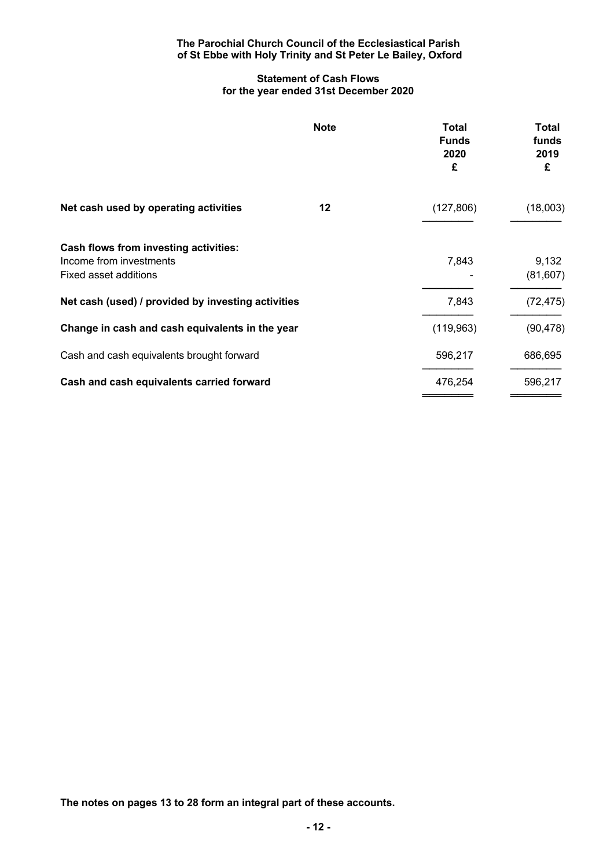### **Statement of Cash Flows for the year ended 31st December 2020**

|                                                                                                         | <b>Note</b> | <b>Total</b><br><b>Funds</b><br>2020<br>£ | <b>Total</b><br>funds<br>2019<br>£ |
|---------------------------------------------------------------------------------------------------------|-------------|-------------------------------------------|------------------------------------|
| Net cash used by operating activities                                                                   | $12 \,$     | (127, 806)                                | (18,003)                           |
| <b>Cash flows from investing activities:</b><br>Income from investments<br><b>Fixed asset additions</b> |             | 7,843                                     | 9,132<br>(81, 607)                 |
| Net cash (used) / provided by investing activities                                                      |             | 7,843                                     | (72, 475)                          |
| Change in cash and cash equivalents in the year                                                         |             | (119, 963)                                | (90, 478)                          |
| Cash and cash equivalents brought forward                                                               |             | 596,217                                   | 686,695                            |
| Cash and cash equivalents carried forward                                                               |             | 476,254                                   | 596,217                            |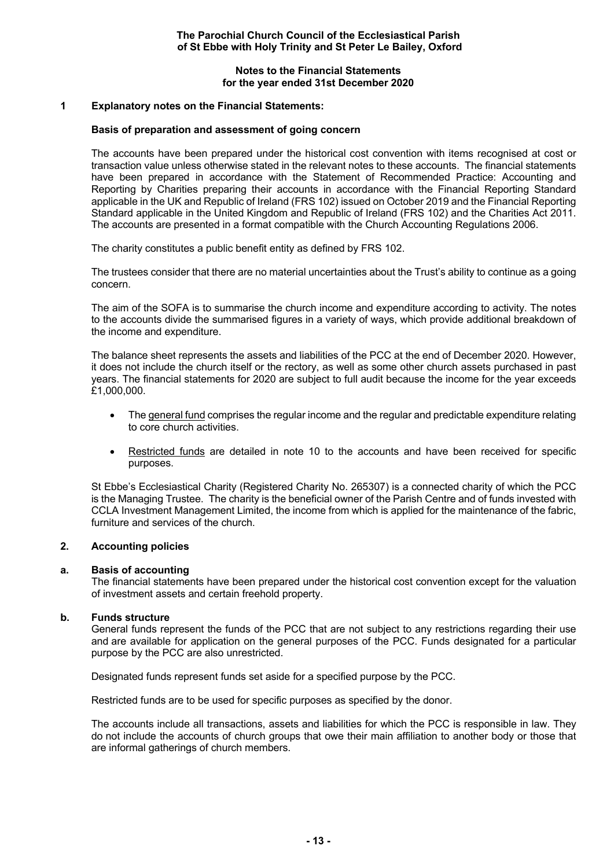## **Notes to the Financial Statements for the year ended 31st December 2020**

#### **1 Explanatory notes on the Financial Statements:**

#### **Basis of preparation and assessment of going concern**

The accounts have been prepared under the historical cost convention with items recognised at cost or transaction value unless otherwise stated in the relevant notes to these accounts. The financial statements have been prepared in accordance with the Statement of Recommended Practice: Accounting and Reporting by Charities preparing their accounts in accordance with the Financial Reporting Standard applicable in the UK and Republic of Ireland (FRS 102) issued on October 2019 and the Financial Reporting Standard applicable in the United Kingdom and Republic of Ireland (FRS 102) and the Charities Act 2011. The accounts are presented in a format compatible with the Church Accounting Regulations 2006.

The charity constitutes a public benefit entity as defined by FRS 102.

The trustees consider that there are no material uncertainties about the Trust's ability to continue as a going concern.

The aim of the SOFA is to summarise the church income and expenditure according to activity. The notes to the accounts divide the summarised figures in a variety of ways, which provide additional breakdown of the income and expenditure.

The balance sheet represents the assets and liabilities of the PCC at the end of December 2020. However, it does not include the church itself or the rectory, as well as some other church assets purchased in past years. The financial statements for 2020 are subject to full audit because the income for the year exceeds £1,000,000.

- The general fund comprises the regular income and the regular and predictable expenditure relating to core church activities.
- Restricted funds are detailed in note 10 to the accounts and have been received for specific purposes.

St Ebbe's Ecclesiastical Charity (Registered Charity No. 265307) is a connected charity of which the PCC is the Managing Trustee. The charity is the beneficial owner of the Parish Centre and of funds invested with CCLA Investment Management Limited, the income from which is applied for the maintenance of the fabric, furniture and services of the church.

## **2. Accounting policies**

#### **a. Basis of accounting**

The financial statements have been prepared under the historical cost convention except for the valuation of investment assets and certain freehold property.

#### **b. Funds structure**

General funds represent the funds of the PCC that are not subject to any restrictions regarding their use and are available for application on the general purposes of the PCC. Funds designated for a particular purpose by the PCC are also unrestricted.

Designated funds represent funds set aside for a specified purpose by the PCC.

Restricted funds are to be used for specific purposes as specified by the donor.

The accounts include all transactions, assets and liabilities for which the PCC is responsible in law. They do not include the accounts of church groups that owe their main affiliation to another body or those that are informal gatherings of church members.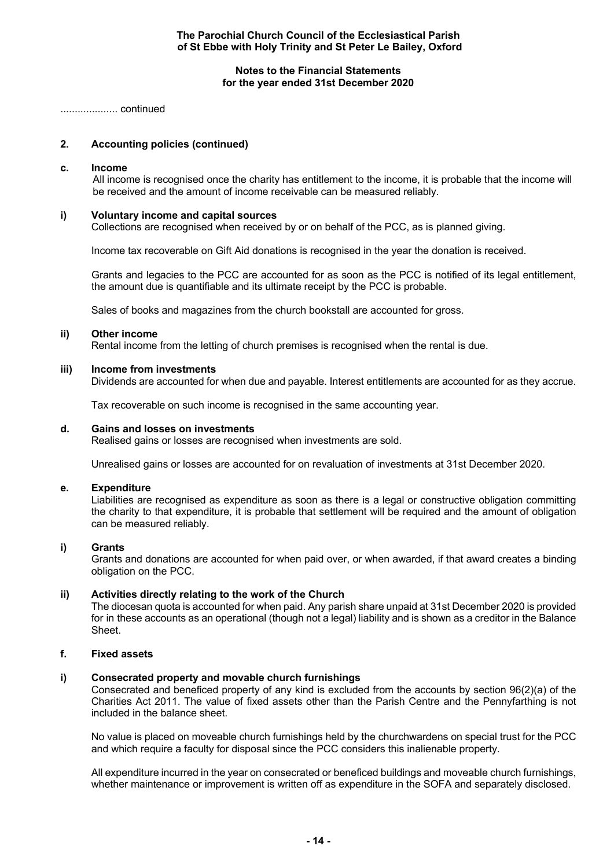### **Notes to the Financial Statements for the year ended 31st December 2020**

.................... continued

### **2. Accounting policies (continued)**

#### **c. Income**

All income is recognised once the charity has entitlement to the income, it is probable that the income will be received and the amount of income receivable can be measured reliably.

### **i) Voluntary income and capital sources**

Collections are recognised when received by or on behalf of the PCC, as is planned giving.

Income tax recoverable on Gift Aid donations is recognised in the year the donation is received.

Grants and legacies to the PCC are accounted for as soon as the PCC is notified of its legal entitlement, the amount due is quantifiable and its ultimate receipt by the PCC is probable.

Sales of books and magazines from the church bookstall are accounted for gross.

#### **ii) Other income**

Rental income from the letting of church premises is recognised when the rental is due.

#### **iii) Income from investments**

Dividends are accounted for when due and payable. Interest entitlements are accounted for as they accrue.

Tax recoverable on such income is recognised in the same accounting year.

#### **d. Gains and losses on investments**

Realised gains or losses are recognised when investments are sold.

Unrealised gains or losses are accounted for on revaluation of investments at 31st December 2020.

#### **e. Expenditure**

Liabilities are recognised as expenditure as soon as there is a legal or constructive obligation committing the charity to that expenditure, it is probable that settlement will be required and the amount of obligation can be measured reliably.

#### **i) Grants**

Grants and donations are accounted for when paid over, or when awarded, if that award creates a binding obligation on the PCC.

### **ii) Activities directly relating to the work of the Church**

The diocesan quota is accounted for when paid. Any parish share unpaid at 31st December 2020 is provided for in these accounts as an operational (though not a legal) liability and is shown as a creditor in the Balance Sheet.

#### **f. Fixed assets**

#### **i) Consecrated property and movable church furnishings**

Consecrated and beneficed property of any kind is excluded from the accounts by section 96(2)(a) of the Charities Act 2011. The value of fixed assets other than the Parish Centre and the Pennyfarthing is not included in the balance sheet.

No value is placed on moveable church furnishings held by the churchwardens on special trust for the PCC and which require a faculty for disposal since the PCC considers this inalienable property.

All expenditure incurred in the year on consecrated or beneficed buildings and moveable church furnishings, whether maintenance or improvement is written off as expenditure in the SOFA and separately disclosed.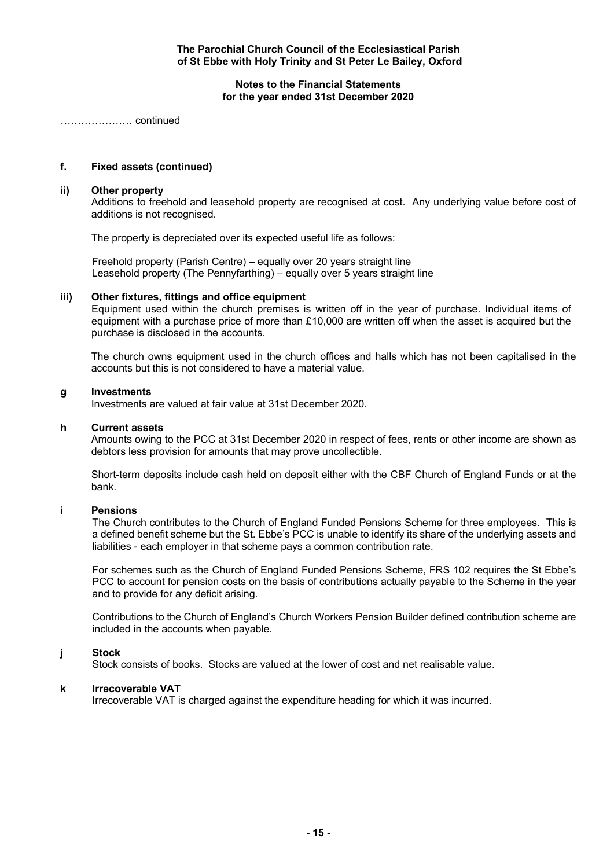### **Notes to the Financial Statements for the year ended 31st December 2020**

………………… continued

## **f. Fixed assets (continued)**

#### **ii) Other property**

Additions to freehold and leasehold property are recognised at cost. Any underlying value before cost of additions is not recognised.

The property is depreciated over its expected useful life as follows:

 Freehold property (Parish Centre) – equally over 20 years straight line Leasehold property (The Pennyfarthing) – equally over 5 years straight line

#### **iii) Other fixtures, fittings and office equipment**

Equipment used within the church premises is written off in the year of purchase. Individual items of equipment with a purchase price of more than £10,000 are written off when the asset is acquired but the purchase is disclosed in the accounts.

The church owns equipment used in the church offices and halls which has not been capitalised in the accounts but this is not considered to have a material value.

#### **g Investments**

Investments are valued at fair value at 31st December 2020.

#### **h Current assets**

Amounts owing to the PCC at 31st December 2020 in respect of fees, rents or other income are shown as debtors less provision for amounts that may prove uncollectible.

Short-term deposits include cash held on deposit either with the CBF Church of England Funds or at the bank.

### **i Pensions**

 The Church contributes to the Church of England Funded Pensions Scheme for three employees. This is a defined benefit scheme but the St. Ebbe's PCC is unable to identify its share of the underlying assets and liabilities - each employer in that scheme pays a common contribution rate.

For schemes such as the Church of England Funded Pensions Scheme, FRS 102 requires the St Ebbe's PCC to account for pension costs on the basis of contributions actually payable to the Scheme in the year and to provide for any deficit arising.

Contributions to the Church of England's Church Workers Pension Builder defined contribution scheme are included in the accounts when payable.

#### **j Stock**

Stock consists of books. Stocks are valued at the lower of cost and net realisable value.

#### **k Irrecoverable VAT**

Irrecoverable VAT is charged against the expenditure heading for which it was incurred.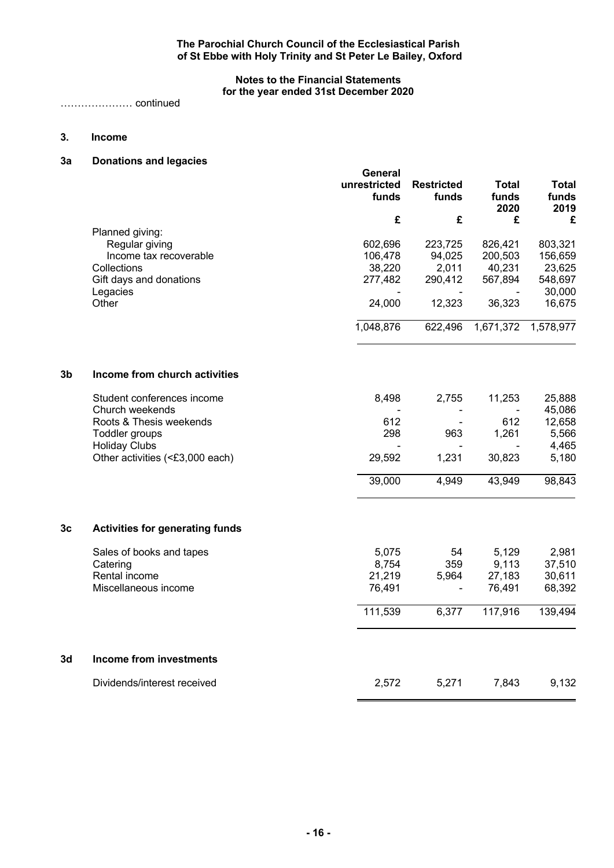## **Notes to the Financial Statements for the year ended 31st December 2020**

………………… continued

## **3. Income**

# **3a Donations and legacies**

|    |                                          | <b>General</b><br>unrestricted<br>funds | <b>Restricted</b><br>funds | Total<br>funds<br>2020 | Total<br>funds<br>2019 |
|----|------------------------------------------|-----------------------------------------|----------------------------|------------------------|------------------------|
|    |                                          | £                                       | £                          | £                      | £                      |
|    | Planned giving:                          | 602,696                                 | 223,725                    | 826,421                | 803,321                |
|    | Regular giving<br>Income tax recoverable | 106,478                                 | 94,025                     | 200,503                | 156,659                |
|    | Collections                              | 38,220                                  | 2,011                      | 40,231                 | 23,625                 |
|    | Gift days and donations                  | 277,482                                 | 290,412                    | 567,894                | 548,697                |
|    | Legacies                                 |                                         |                            |                        | 30,000                 |
|    | Other                                    | 24,000                                  | 12,323                     | 36,323                 | 16,675                 |
|    |                                          | 1,048,876                               | 622,496                    | 1,671,372              | 1,578,977              |
|    |                                          |                                         |                            |                        |                        |
| 3b | Income from church activities            |                                         |                            |                        |                        |
|    | Student conferences income               | 8,498                                   | 2,755                      | 11,253                 | 25,888                 |
|    | Church weekends                          |                                         |                            |                        | 45,086                 |
|    | Roots & Thesis weekends                  | 612                                     |                            | 612                    | 12,658                 |
|    | Toddler groups                           | 298                                     | 963                        | 1,261                  | 5,566                  |
|    | <b>Holiday Clubs</b>                     |                                         |                            |                        | 4,465                  |
|    | Other activities (<£3,000 each)          | 29,592                                  | 1,231                      | 30,823                 | 5,180                  |
|    |                                          | 39,000                                  | 4,949                      | 43,949                 | 98,843                 |
| 3c | <b>Activities for generating funds</b>   |                                         |                            |                        |                        |
|    | Sales of books and tapes                 | 5,075                                   | 54                         | 5,129                  | 2,981                  |
|    | Catering                                 | 8,754                                   | 359                        | 9,113                  | 37,510                 |
|    | Rental income                            | 21,219                                  | 5,964                      | 27,183                 | 30,611                 |
|    | Miscellaneous income                     | 76,491                                  |                            | 76,491                 | 68,392                 |
|    |                                          | 111,539                                 | 6,377                      | 117,916                | 139,494                |
| 3d | Income from investments                  |                                         |                            |                        |                        |
|    | Dividends/interest received              | 2,572                                   | 5,271                      | 7,843                  | 9,132                  |
|    |                                          |                                         |                            |                        |                        |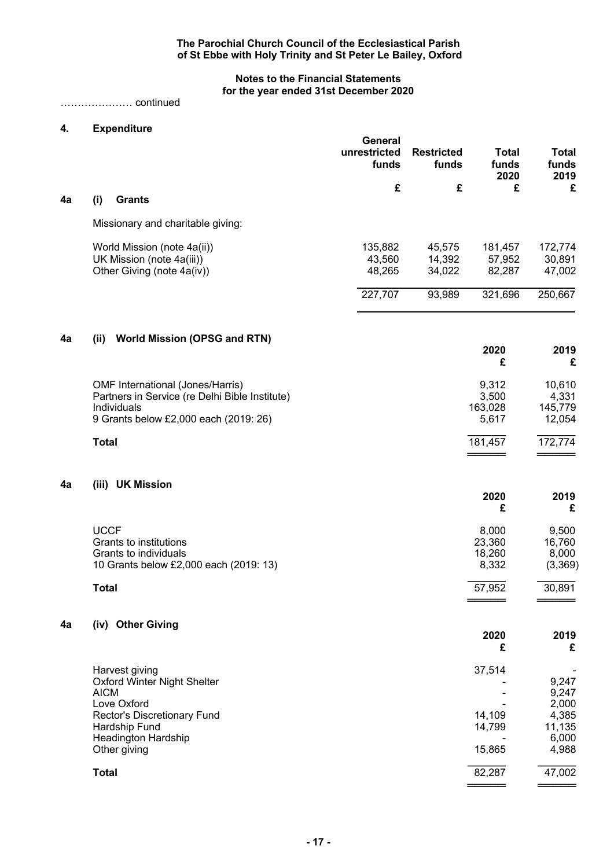# **Notes to the Financial Statements for the year ended 31st December 2020**

## ………………… continued

## **4. Expenditure**

|    |              |                                                                                                                                            | General<br>unrestricted<br>funds | <b>Restricted</b><br>funds | <b>Total</b><br>funds<br>2020           | <b>Total</b><br>funds<br>2019             |
|----|--------------|--------------------------------------------------------------------------------------------------------------------------------------------|----------------------------------|----------------------------|-----------------------------------------|-------------------------------------------|
| 4a | (i)          | <b>Grants</b>                                                                                                                              | £                                | £                          | £                                       | £                                         |
|    |              | Missionary and charitable giving:                                                                                                          |                                  |                            |                                         |                                           |
|    |              | World Mission (note 4a(ii))<br>UK Mission (note 4a(iii))<br>Other Giving (note 4a(iv))                                                     | 135,882<br>43,560<br>48,265      | 45,575<br>14,392<br>34,022 | 181,457<br>57,952<br>82,287             | 172,774<br>30,891<br>47,002               |
|    |              |                                                                                                                                            | 227,707                          | 93,989                     | 321,696                                 | 250,667                                   |
| 4a | (ii)         | <b>World Mission (OPSG and RTN)</b>                                                                                                        |                                  |                            | 2020                                    | 2019                                      |
|    |              | OMF International (Jones/Harris)<br>Partners in Service (re Delhi Bible Institute)<br>Individuals<br>9 Grants below £2,000 each (2019: 26) |                                  |                            | £<br>9,312<br>3,500<br>163,028<br>5,617 | £<br>10,610<br>4,331<br>145,779<br>12,054 |
|    | <b>Total</b> |                                                                                                                                            |                                  |                            | 181,457                                 | 172,774                                   |
| 4a |              | (iii) UK Mission                                                                                                                           |                                  |                            | 2020<br>£                               | 2019<br>£                                 |
|    | <b>UCCF</b>  | Grants to institutions<br>Grants to individuals<br>10 Grants below £2,000 each (2019: 13)                                                  |                                  |                            | 8,000<br>23,360<br>18,260<br>8,332      | 9,500<br>16,760<br>8,000<br>(3, 369)      |
|    | <b>Total</b> |                                                                                                                                            |                                  |                            | 57,952                                  | 30,891                                    |
| 4a |              | (iv) Other Giving                                                                                                                          |                                  |                            | 2020<br>£                               | 2019<br>£                                 |
|    | <b>AICM</b>  | Harvest giving<br><b>Oxford Winter Night Shelter</b>                                                                                       |                                  |                            | 37,514                                  | 9,247<br>9,247                            |
|    |              | Love Oxford<br>Rector's Discretionary Fund<br>Hardship Fund<br><b>Headington Hardship</b>                                                  |                                  |                            | 14,109<br>14,799                        | 2,000<br>4,385<br>11,135<br>6,000         |
|    | <b>Total</b> | Other giving                                                                                                                               |                                  |                            | 15,865<br>82,287                        | 4,988<br>47,002                           |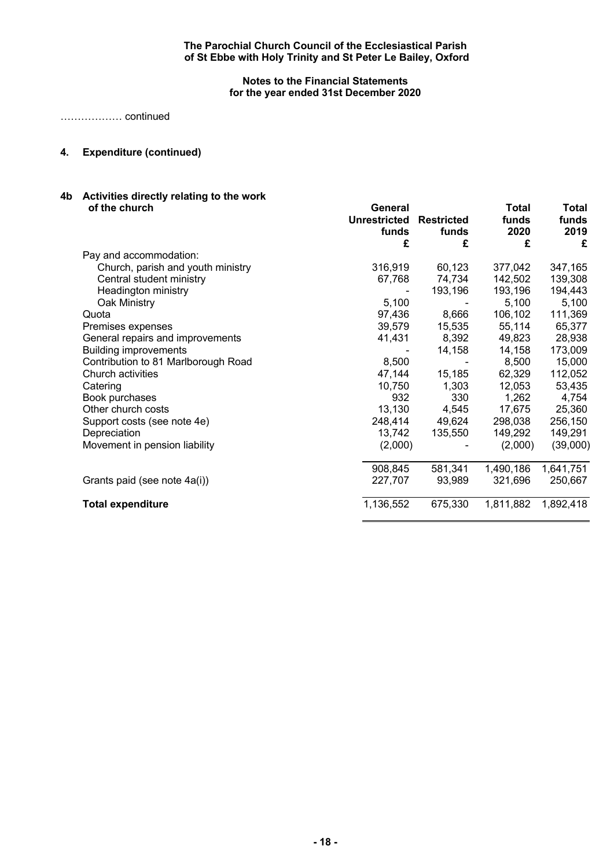# **Notes to the Financial Statements for the year ended 31st December 2020**

……………… continued

# **4. Expenditure (continued)**

**4b Activities directly relating to the work of the church General Total Total**

|                                     | <b>Unrestricted</b> | <b>Restricted</b> |           |           |
|-------------------------------------|---------------------|-------------------|-----------|-----------|
|                                     |                     |                   | funds     | funds     |
|                                     | funds               | funds             | 2020      | 2019      |
|                                     | £                   | £                 | £         | £         |
| Pay and accommodation:              |                     |                   |           |           |
| Church, parish and youth ministry   | 316,919             | 60,123            | 377,042   | 347,165   |
| Central student ministry            | 67,768              | 74,734            | 142,502   | 139,308   |
| Headington ministry                 |                     | 193,196           | 193,196   | 194,443   |
| Oak Ministry                        | 5,100               |                   | 5,100     | 5,100     |
| Quota                               | 97,436              | 8,666             | 106,102   | 111,369   |
| Premises expenses                   | 39,579              | 15,535            | 55,114    | 65,377    |
| General repairs and improvements    | 41,431              | 8,392             | 49,823    | 28,938    |
| <b>Building improvements</b>        |                     | 14,158            | 14,158    | 173,009   |
| Contribution to 81 Marlborough Road | 8,500               |                   | 8,500     | 15,000    |
| Church activities                   | 47,144              | 15,185            | 62,329    | 112,052   |
| Catering                            | 10,750              | 1,303             | 12,053    | 53,435    |
| Book purchases                      | 932                 | 330               | 1,262     | 4,754     |
| Other church costs                  | 13,130              | 4,545             | 17,675    | 25,360    |
| Support costs (see note 4e)         | 248,414             | 49,624            | 298,038   | 256,150   |
| Depreciation                        | 13,742              | 135,550           | 149,292   | 149,291   |
| Movement in pension liability       | (2,000)             |                   | (2,000)   | (39,000)  |
|                                     | 908,845             | 581,341           | 1,490,186 | 1,641,751 |
| Grants paid (see note 4a(i))        | 227,707             | 93,989            | 321,696   | 250,667   |
| <b>Total expenditure</b>            | 1,136,552           | 675,330           | 1,811,882 | 1,892,418 |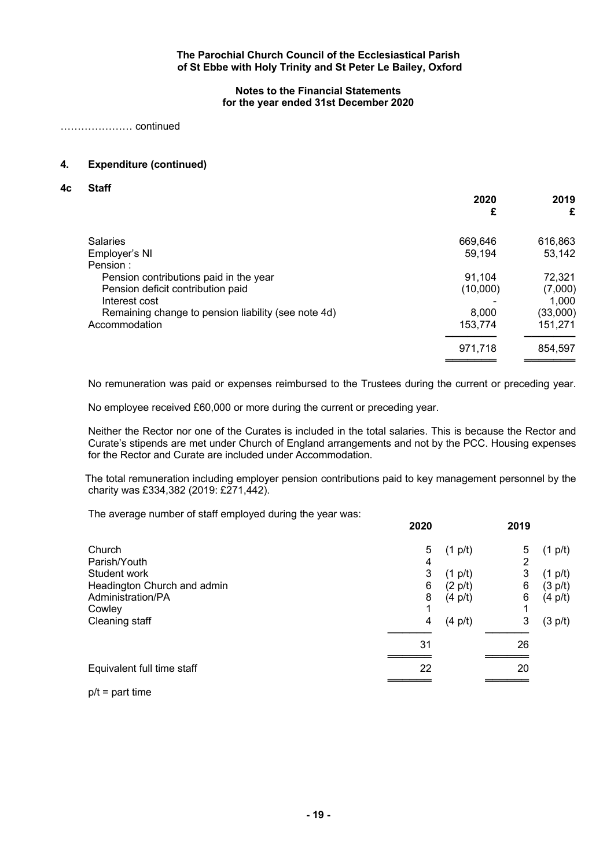### **Notes to the Financial Statements for the year ended 31st December 2020**

………………… continued

### **4. Expenditure (continued)**

**4c Staff**

|                                                     | 2020<br>£ | 2019<br>£ |
|-----------------------------------------------------|-----------|-----------|
| Salaries                                            | 669,646   | 616,863   |
| Employer's NI<br>Pension:                           | 59,194    | 53,142    |
| Pension contributions paid in the year              | 91.104    | 72,321    |
| Pension deficit contribution paid                   | (10,000)  | (7,000)   |
| Interest cost                                       |           | 1,000     |
| Remaining change to pension liability (see note 4d) | 8,000     | (33,000)  |
| Accommodation                                       | 153,774   | 151,271   |
|                                                     | 971,718   | 854,597   |
|                                                     |           |           |

No remuneration was paid or expenses reimbursed to the Trustees during the current or preceding year.

No employee received £60,000 or more during the current or preceding year.

Neither the Rector nor one of the Curates is included in the total salaries. This is because the Rector and Curate's stipends are met under Church of England arrangements and not by the PCC. Housing expenses for the Rector and Curate are included under Accommodation.

The total remuneration including employer pension contributions paid to key management personnel by the charity was £334,382 (2019: £271,442).

The average number of staff employed during the year was:

|                             | 2020 |                   | 2019           |                   |
|-----------------------------|------|-------------------|----------------|-------------------|
| Church                      | 5    | $(1 \text{ p/t})$ | 5              | $(1 \text{ p/t})$ |
| Parish/Youth                | 4    |                   | $\overline{2}$ |                   |
| Student work                | 3    | $(1 \text{ p/t})$ | 3              | $(1 \text{ p/t})$ |
| Headington Church and admin | 6    | $(2 \text{ p/t})$ | 6              | $(3 \text{ p/t})$ |
| Administration/PA           | 8    | $(4 \text{ p/t})$ | 6              | $(4 \text{ p/t})$ |
| Cowley                      | 1    |                   | 1              |                   |
| Cleaning staff              | 4    | $(4 \text{ p/t})$ | 3              | $(3 \text{ p/t})$ |
|                             |      |                   |                |                   |
|                             | 31   |                   | 26             |                   |
|                             |      |                   |                |                   |
| Equivalent full time staff  | 22   |                   | 20             |                   |
|                             |      |                   |                |                   |

 $p/t =$  part time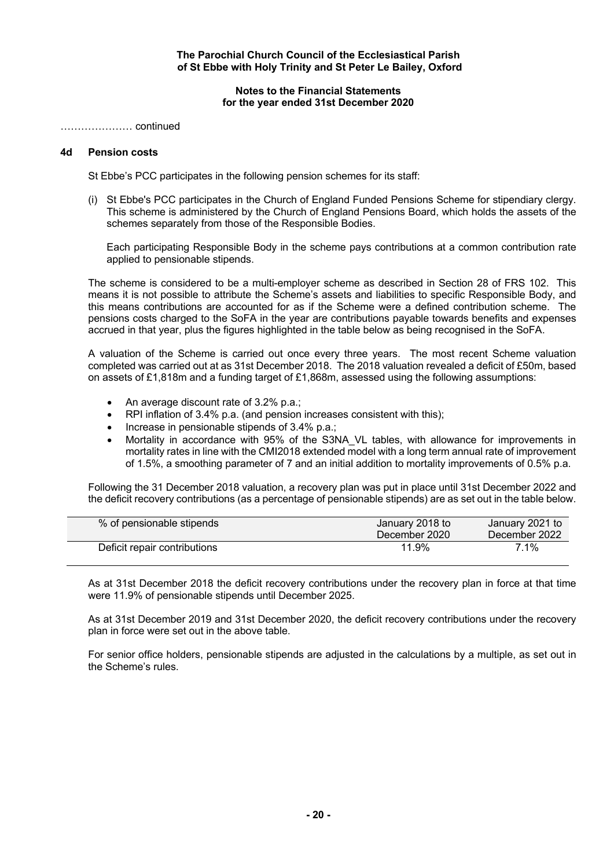### **Notes to the Financial Statements for the year ended 31st December 2020**

#### ………………… continued

#### **4d Pension costs**

St Ebbe's PCC participates in the following pension schemes for its staff:

(i) St Ebbe's PCC participates in the Church of England Funded Pensions Scheme for stipendiary clergy. This scheme is administered by the Church of England Pensions Board, which holds the assets of the schemes separately from those of the Responsible Bodies.

Each participating Responsible Body in the scheme pays contributions at a common contribution rate applied to pensionable stipends.

The scheme is considered to be a multi-employer scheme as described in Section 28 of FRS 102. This means it is not possible to attribute the Scheme's assets and liabilities to specific Responsible Body, and this means contributions are accounted for as if the Scheme were a defined contribution scheme. The pensions costs charged to the SoFA in the year are contributions payable towards benefits and expenses accrued in that year, plus the figures highlighted in the table below as being recognised in the SoFA.

A valuation of the Scheme is carried out once every three years. The most recent Scheme valuation completed was carried out at as 31st December 2018. The 2018 valuation revealed a deficit of £50m, based on assets of £1,818m and a funding target of £1,868m, assessed using the following assumptions:

- An average discount rate of 3.2% p.a.;
- RPI inflation of 3.4% p.a. (and pension increases consistent with this);
- Increase in pensionable stipends of 3.4% p.a.;
- Mortality in accordance with 95% of the S3NA\_VL tables, with allowance for improvements in mortality rates in line with the CMI2018 extended model with a long term annual rate of improvement of 1.5%, a smoothing parameter of 7 and an initial addition to mortality improvements of 0.5% p.a.

Following the 31 December 2018 valuation, a recovery plan was put in place until 31st December 2022 and the deficit recovery contributions (as a percentage of pensionable stipends) are as set out in the table below.

| % of pensionable stipends    | January 2018 to<br>December 2020 | January 2021 to<br>December 2022 |
|------------------------------|----------------------------------|----------------------------------|
| Deficit repair contributions | 11.9%                            | 7.1%                             |

As at 31st December 2018 the deficit recovery contributions under the recovery plan in force at that time were 11.9% of pensionable stipends until December 2025.

As at 31st December 2019 and 31st December 2020, the deficit recovery contributions under the recovery plan in force were set out in the above table.

For senior office holders, pensionable stipends are adjusted in the calculations by a multiple, as set out in the Scheme's rules.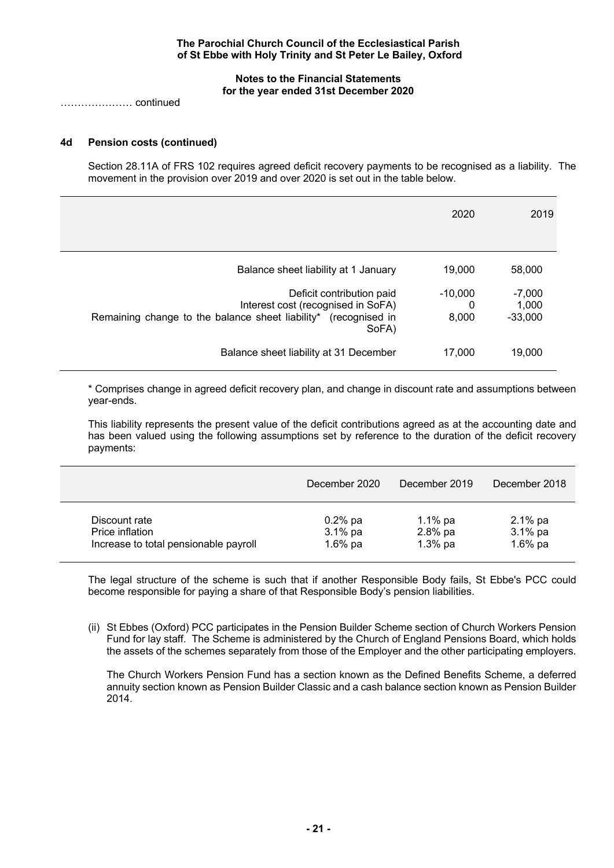### **Notes to the Financial Statements for the year ended 31st December 2020**

………………… continued

## **4d Pension costs (continued)**

Section 28.11A of FRS 102 requires agreed deficit recovery payments to be recognised as a liability. The movement in the provision over 2019 and over 2020 is set out in the table below.

|                                                                                                                                                                                     | 2020                              | 2019                                     |
|-------------------------------------------------------------------------------------------------------------------------------------------------------------------------------------|-----------------------------------|------------------------------------------|
| Balance sheet liability at 1 January<br>Deficit contribution paid<br>Interest cost (recognised in SoFA)<br>Remaining change to the balance sheet liability* (recognised in<br>SoFA) | 19,000<br>$-10,000$<br>0<br>8,000 | 58,000<br>$-7,000$<br>1,000<br>$-33,000$ |
| Balance sheet liability at 31 December                                                                                                                                              | 17.000                            | 19,000                                   |

\* Comprises change in agreed deficit recovery plan, and change in discount rate and assumptions between year-ends.

This liability represents the present value of the deficit contributions agreed as at the accounting date and has been valued using the following assumptions set by reference to the duration of the deficit recovery payments:

|                                       | December 2020 | December 2019 | December 2018 |
|---------------------------------------|---------------|---------------|---------------|
| Discount rate                         | $0.2%$ pa     | 1.1% $pa$     | $2.1\%$ pa    |
| Price inflation                       | $3.1\%$ pa    | $2.8%$ pa     | $3.1%$ pa     |
| Increase to total pensionable payroll | 1.6% $pa$     | 1.3% $pa$     | $1.6\%$ pa    |

The legal structure of the scheme is such that if another Responsible Body fails, St Ebbe's PCC could become responsible for paying a share of that Responsible Body's pension liabilities.

(ii) St Ebbes (Oxford) PCC participates in the Pension Builder Scheme section of Church Workers Pension Fund for lay staff. The Scheme is administered by the Church of England Pensions Board, which holds the assets of the schemes separately from those of the Employer and the other participating employers.

The Church Workers Pension Fund has a section known as the Defined Benefits Scheme, a deferred annuity section known as Pension Builder Classic and a cash balance section known as Pension Builder 2014.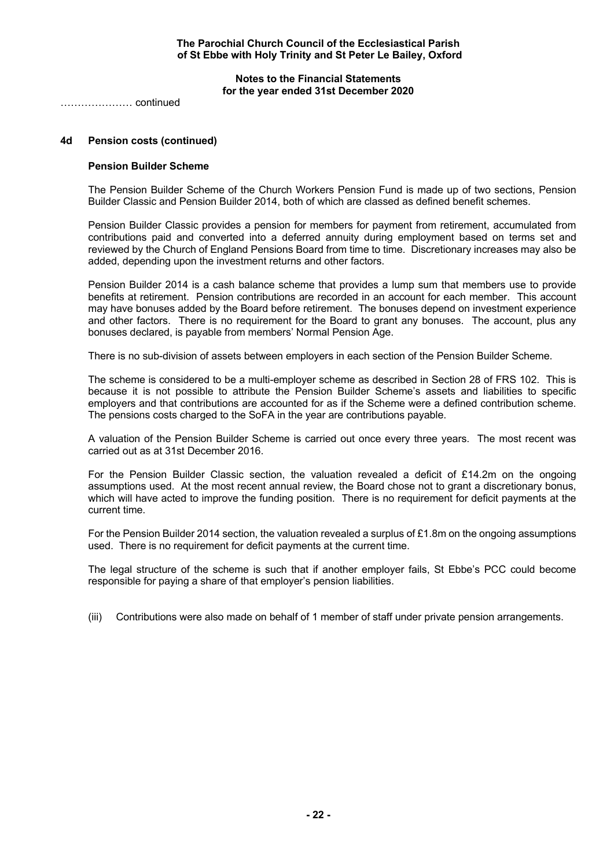**Notes to the Financial Statements for the year ended 31st December 2020**

………………… continued

### **4d Pension costs (continued)**

# **Pension Builder Scheme**

The Pension Builder Scheme of the Church Workers Pension Fund is made up of two sections, Pension Builder Classic and Pension Builder 2014, both of which are classed as defined benefit schemes.

Pension Builder Classic provides a pension for members for payment from retirement, accumulated from contributions paid and converted into a deferred annuity during employment based on terms set and reviewed by the Church of England Pensions Board from time to time. Discretionary increases may also be added, depending upon the investment returns and other factors.

Pension Builder 2014 is a cash balance scheme that provides a lump sum that members use to provide benefits at retirement. Pension contributions are recorded in an account for each member. This account may have bonuses added by the Board before retirement. The bonuses depend on investment experience and other factors. There is no requirement for the Board to grant any bonuses. The account, plus any bonuses declared, is payable from members' Normal Pension Age.

There is no sub-division of assets between employers in each section of the Pension Builder Scheme.

The scheme is considered to be a multi-employer scheme as described in Section 28 of FRS 102. This is because it is not possible to attribute the Pension Builder Scheme's assets and liabilities to specific employers and that contributions are accounted for as if the Scheme were a defined contribution scheme. The pensions costs charged to the SoFA in the year are contributions payable.

A valuation of the Pension Builder Scheme is carried out once every three years. The most recent was carried out as at 31st December 2016.

For the Pension Builder Classic section, the valuation revealed a deficit of £14.2m on the ongoing assumptions used. At the most recent annual review, the Board chose not to grant a discretionary bonus, which will have acted to improve the funding position. There is no requirement for deficit payments at the current time.

For the Pension Builder 2014 section, the valuation revealed a surplus of £1.8m on the ongoing assumptions used. There is no requirement for deficit payments at the current time.

The legal structure of the scheme is such that if another employer fails, St Ebbe's PCC could become responsible for paying a share of that employer's pension liabilities.

(iii) Contributions were also made on behalf of 1 member of staff under private pension arrangements.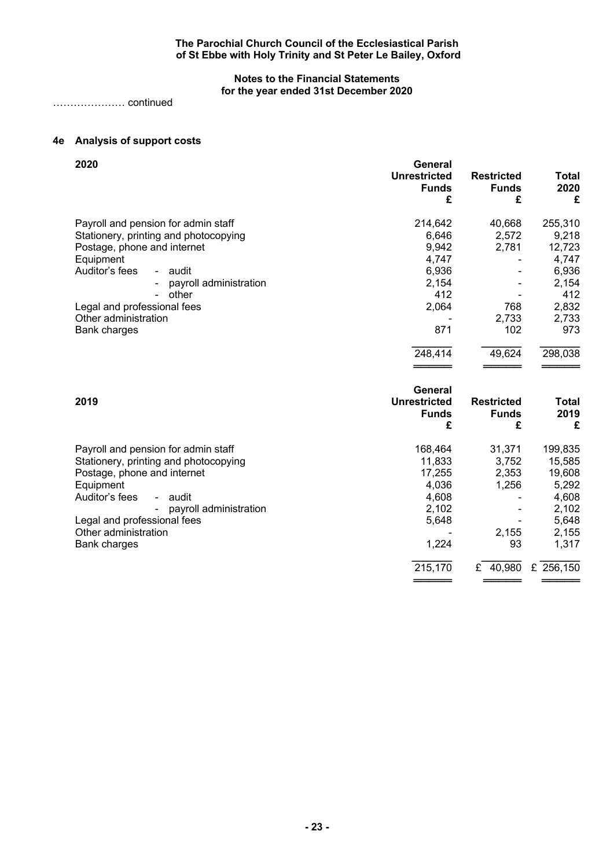### **Notes to the Financial Statements for the year ended 31st December 2020**

………………… continued

### **4e Analysis of support costs**

| 2020                                  | General<br><b>Unrestricted</b><br><b>Funds</b><br>£ | <b>Restricted</b><br><b>Funds</b><br>£ | Total<br>2020<br>£ |
|---------------------------------------|-----------------------------------------------------|----------------------------------------|--------------------|
| Payroll and pension for admin staff   | 214,642                                             | 40,668                                 | 255,310            |
| Stationery, printing and photocopying | 6,646                                               | 2,572                                  | 9,218              |
| Postage, phone and internet           | 9,942                                               | 2,781                                  | 12,723             |
| Equipment                             | 4,747                                               |                                        | 4,747              |
| Auditor's fees<br>- audit             | 6,936                                               |                                        | 6,936              |
| payroll administration                | 2,154                                               |                                        | 2,154              |
| other<br>$\overline{\phantom{0}}$     | 412                                                 |                                        | 412                |
| Legal and professional fees           | 2,064                                               | 768                                    | 2,832              |
| Other administration                  |                                                     | 2,733                                  | 2,733              |
| Bank charges                          | 871                                                 | 102                                    | 973                |
|                                       | 248,414                                             | 49,624                                 | 298,038            |
|                                       |                                                     |                                        |                    |

| 2019                                  | General<br><b>Unrestricted</b><br><b>Funds</b><br>£ | <b>Restricted</b><br><b>Funds</b><br>£ | <b>Total</b><br>2019<br>£ |
|---------------------------------------|-----------------------------------------------------|----------------------------------------|---------------------------|
| Payroll and pension for admin staff   | 168,464                                             | 31,371                                 | 199,835                   |
| Stationery, printing and photocopying | 11,833                                              | 3,752                                  | 15,585                    |
| Postage, phone and internet           | 17,255                                              | 2,353                                  | 19,608                    |
| Equipment                             | 4,036                                               | 1,256                                  | 5,292                     |
| Auditor's fees<br>- audit             | 4,608                                               |                                        | 4,608                     |
| payroll administration                | 2,102                                               |                                        | 2,102                     |
| Legal and professional fees           | 5,648                                               |                                        | 5,648                     |
| Other administration                  |                                                     | 2,155                                  | 2,155                     |
| Bank charges                          | 1,224                                               | 93                                     | 1,317                     |
|                                       | 215,170                                             | £ 40,980                               | £ 256,150                 |
|                                       |                                                     |                                        |                           |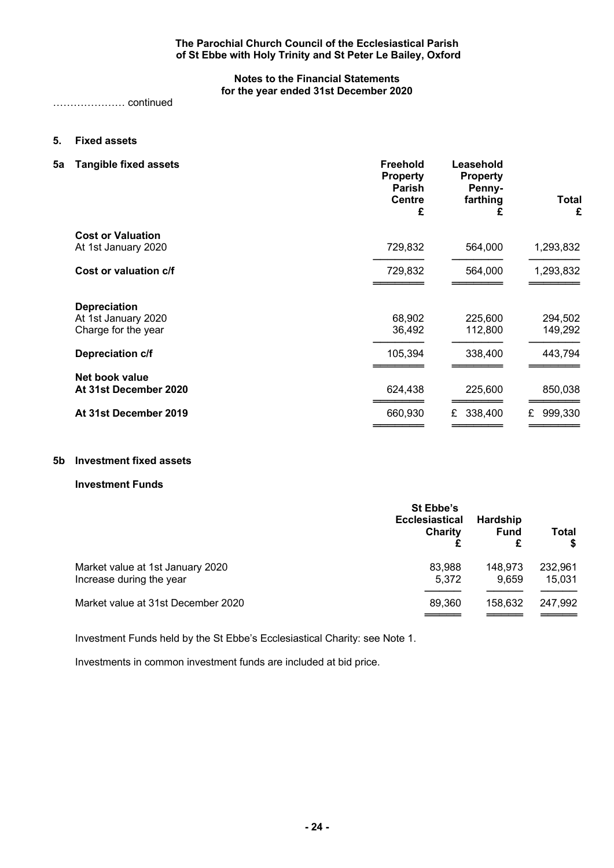### **Notes to the Financial Statements for the year ended 31st December 2020**

………………… continued

**5. Fixed assets**

| 5а | <b>Tangible fixed assets</b> | <b>Freehold</b><br><b>Property</b><br>Parish<br><b>Centre</b><br>£ | Leasehold<br><b>Property</b><br>Penny-<br>farthing<br>£ | Total<br>£   |
|----|------------------------------|--------------------------------------------------------------------|---------------------------------------------------------|--------------|
|    | <b>Cost or Valuation</b>     |                                                                    |                                                         |              |
|    | At 1st January 2020          | 729,832                                                            | 564,000                                                 | 1,293,832    |
|    | Cost or valuation c/f        | 729,832                                                            | 564,000                                                 | 1,293,832    |
|    | <b>Depreciation</b>          |                                                                    |                                                         |              |
|    | At 1st January 2020          | 68,902                                                             | 225,600                                                 | 294,502      |
|    | Charge for the year          | 36,492                                                             | 112,800                                                 | 149,292      |
|    | <b>Depreciation c/f</b>      | 105,394                                                            | 338,400                                                 | 443,794      |
|    | Net book value               |                                                                    |                                                         |              |
|    | At 31st December 2020        | 624,438                                                            | 225,600                                                 | 850,038      |
|    | At 31st December 2019        | 660,930                                                            | 338,400<br>£                                            | 999,330<br>£ |
|    |                              |                                                                    |                                                         |              |

# **5b Investment fixed assets**

### **Investment Funds**

|                                                              | St Ebbe's<br><b>Ecclesiastical</b><br><b>Charity</b> | <b>Hardship</b><br><b>Fund</b><br>£ | <b>Total</b><br>Ŝ. |
|--------------------------------------------------------------|------------------------------------------------------|-------------------------------------|--------------------|
| Market value at 1st January 2020<br>Increase during the year | 83,988<br>5,372                                      | 148,973<br>9.659                    | 232,961<br>15,031  |
| Market value at 31st December 2020                           | 89,360                                               | 158,632                             | 247,992            |

Investment Funds held by the St Ebbe's Ecclesiastical Charity: see Note 1.

Investments in common investment funds are included at bid price.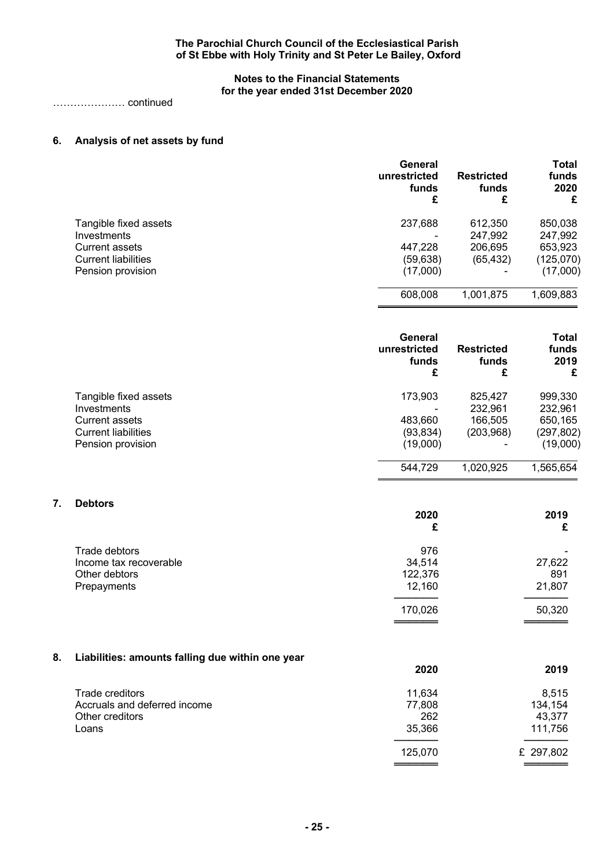### **Notes to the Financial Statements for the year ended 31st December 2020**

………………… continued

### **6. Analysis of net assets by fund**

|                            | General<br>unrestricted<br>funds<br>£ | <b>Restricted</b><br>funds<br>£ | <b>Total</b><br>funds<br>2020<br>£ |
|----------------------------|---------------------------------------|---------------------------------|------------------------------------|
| Tangible fixed assets      | 237,688                               | 612,350                         | 850,038                            |
| Investments                |                                       | 247,992                         | 247,992                            |
| Current assets             | 447,228                               | 206,695                         | 653,923                            |
| <b>Current liabilities</b> | (59, 638)                             | (65, 432)                       | (125,070)                          |
| Pension provision          | (17,000)                              |                                 | (17,000)                           |
|                            | 608,008                               | 1,001,875                       | 1,609,883                          |

|                            | General<br>unrestricted<br>funds<br>£ | <b>Restricted</b><br>funds<br>£ | Total<br>funds<br>2019<br>£ |
|----------------------------|---------------------------------------|---------------------------------|-----------------------------|
| Tangible fixed assets      | 173,903                               | 825,427                         | 999,330                     |
| Investments                |                                       | 232,961                         | 232,961                     |
| <b>Current assets</b>      | 483,660                               | 166,505                         | 650,165                     |
| <b>Current liabilities</b> | (93, 834)                             | (203,968)                       | (297, 802)                  |
| Pension provision          | (19,000)                              |                                 | (19,000)                    |
|                            | 544,729                               | 1,020,925                       | 1,565,654                   |

# **7. Debtors**

|                        | 2020<br>£ | 2019<br>£ |
|------------------------|-----------|-----------|
| Trade debtors          | 976       |           |
| Income tax recoverable | 34,514    | 27,622    |
| Other debtors          | 122,376   | 891       |
| Prepayments            | 12,160    | 21,807    |
|                        |           |           |
|                        | 170,026   | 50,320    |

══════ ══════

# **8. Liabilities: amounts falling due within one year**

|                              | 2020    | 2019      |
|------------------------------|---------|-----------|
| Trade creditors              | 11,634  | 8,515     |
| Accruals and deferred income | 77,808  | 134,154   |
| Other creditors              | 262     | 43,377    |
| Loans                        | 35,366  | 111,756   |
|                              | 125,070 | £ 297,802 |
|                              |         |           |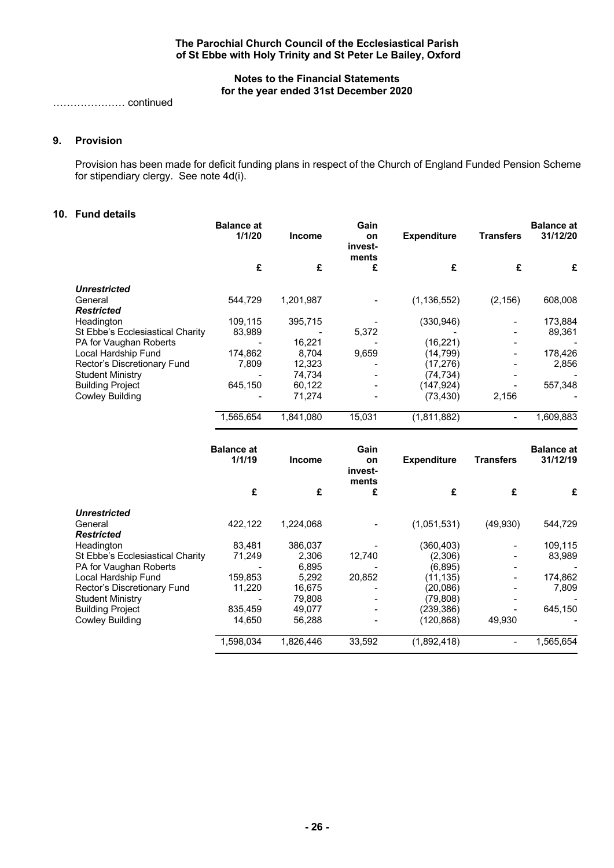## **Notes to the Financial Statements for the year ended 31st December 2020**

………………… continued

## **9. Provision**

Provision has been made for deficit funding plans in respect of the Church of England Funded Pension Scheme for stipendiary clergy. See note 4d(i).

### **10. Fund details**

|                                  | <b>Balance at</b> |               | Gain                   |                    |                  | <b>Balance at</b> |
|----------------------------------|-------------------|---------------|------------------------|--------------------|------------------|-------------------|
|                                  | 1/1/20            | <b>Income</b> | on<br>invest-<br>ments | <b>Expenditure</b> | <b>Transfers</b> | 31/12/20          |
|                                  | £                 | £             | £                      | £                  | £                | £                 |
| <b>Unrestricted</b>              |                   |               |                        |                    |                  |                   |
| General                          | 544.729           | 1,201,987     |                        | (1, 136, 552)      | (2, 156)         | 608,008           |
| <b>Restricted</b>                |                   |               |                        |                    |                  |                   |
| Headington                       | 109,115           | 395,715       |                        | (330, 946)         |                  | 173,884           |
| St Ebbe's Ecclesiastical Charity | 83,989            |               | 5,372                  |                    |                  | 89.361            |
| PA for Vaughan Roberts           |                   | 16.221        |                        | (16,221)           | -                |                   |
| Local Hardship Fund              | 174.862           | 8,704         | 9,659                  | (14,799)           |                  | 178,426           |
| Rector's Discretionary Fund      | 7.809             | 12,323        |                        | (17, 276)          |                  | 2,856             |
| <b>Student Ministry</b>          |                   | 74,734        |                        | (74,734)           |                  |                   |
| <b>Building Project</b>          | 645,150           | 60,122        |                        | (147, 924)         |                  | 557,348           |
| <b>Cowley Building</b>           |                   | 71,274        |                        | (73, 430)          | 2,156            |                   |
|                                  | 1.565.654         | 1,841,080     | 15,031                 | (1,811,882)        | -                | 1.609.883         |

|                                  | <b>Balance at</b><br>1/1/19 | Income    | Gain<br>on<br>invest-<br>ments | <b>Expenditure</b> | <b>Transfers</b> | <b>Balance at</b><br>31/12/19 |
|----------------------------------|-----------------------------|-----------|--------------------------------|--------------------|------------------|-------------------------------|
|                                  | £                           | £         | £                              | £                  | £                | £                             |
| <b>Unrestricted</b>              |                             |           |                                |                    |                  |                               |
| General                          | 422,122                     | 1.224.068 |                                | (1,051,531)        | (49, 930)        | 544,729                       |
| <b>Restricted</b>                |                             |           |                                |                    |                  |                               |
| Headington                       | 83.481                      | 386,037   |                                | (360,403)          |                  | 109,115                       |
| St Ebbe's Ecclesiastical Charity | 71,249                      | 2,306     | 12,740                         | (2,306)            |                  | 83,989                        |
| PA for Vaughan Roberts           |                             | 6,895     |                                | (6,895)            |                  |                               |
| Local Hardship Fund              | 159,853                     | 5,292     | 20,852                         | (11,135)           | -                | 174,862                       |
| Rector's Discretionary Fund      | 11,220                      | 16,675    |                                | (20,086)           |                  | 7,809                         |
| <b>Student Ministry</b>          |                             | 79,808    |                                | (79,808)           |                  |                               |
| <b>Building Project</b>          | 835.459                     | 49,077    |                                | (239,386)          |                  | 645,150                       |
| <b>Cowley Building</b>           | 14.650                      | 56,288    |                                | (120, 868)         | 49.930           |                               |
|                                  | 1,598,034                   | 1,826,446 | 33,592                         | (1,892,418)        |                  | 1,565,654                     |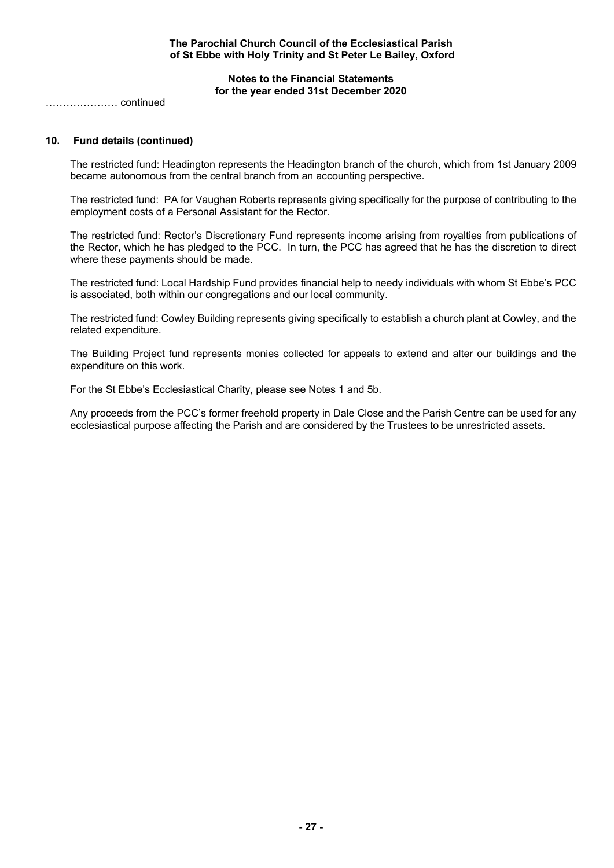#### **Notes to the Financial Statements for the year ended 31st December 2020**

………………… continued

# **10. Fund details (continued)**

The restricted fund: Headington represents the Headington branch of the church, which from 1st January 2009 became autonomous from the central branch from an accounting perspective.

The restricted fund: PA for Vaughan Roberts represents giving specifically for the purpose of contributing to the employment costs of a Personal Assistant for the Rector.

The restricted fund: Rector's Discretionary Fund represents income arising from royalties from publications of the Rector, which he has pledged to the PCC. In turn, the PCC has agreed that he has the discretion to direct where these payments should be made.

The restricted fund: Local Hardship Fund provides financial help to needy individuals with whom St Ebbe's PCC is associated, both within our congregations and our local community.

The restricted fund: Cowley Building represents giving specifically to establish a church plant at Cowley, and the related expenditure.

The Building Project fund represents monies collected for appeals to extend and alter our buildings and the expenditure on this work.

For the St Ebbe's Ecclesiastical Charity, please see Notes 1 and 5b.

Any proceeds from the PCC's former freehold property in Dale Close and the Parish Centre can be used for any ecclesiastical purpose affecting the Parish and are considered by the Trustees to be unrestricted assets.